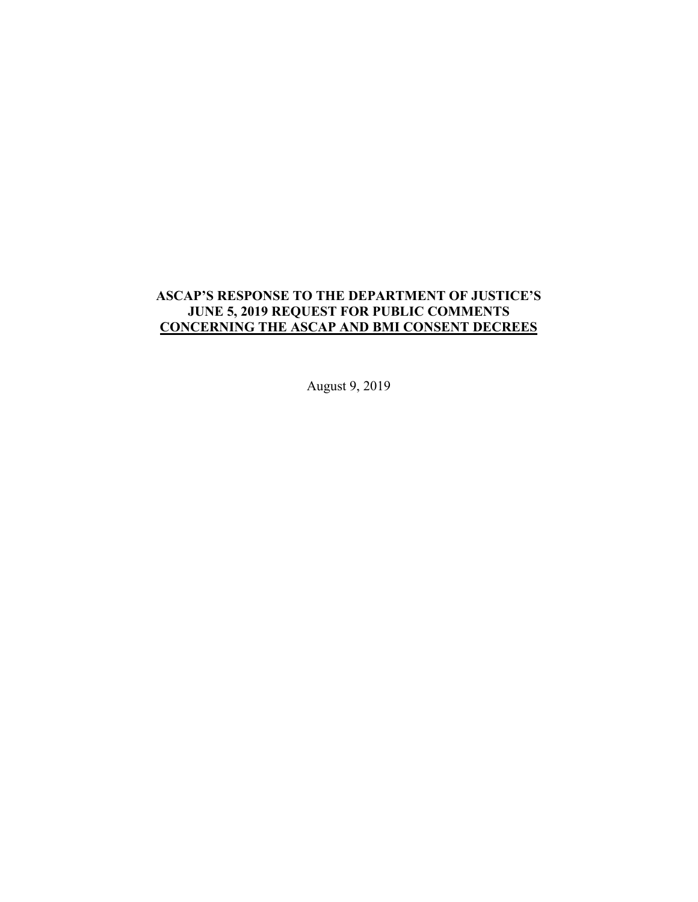# **ASCAP'S RESPONSE TO THE DEPARTMENT OF JUSTICE'S JUNE 5, 2019 REQUEST FOR PUBLIC COMMENTS CONCERNING THE ASCAP AND BMI CONSENT DECREES**

August 9, 2019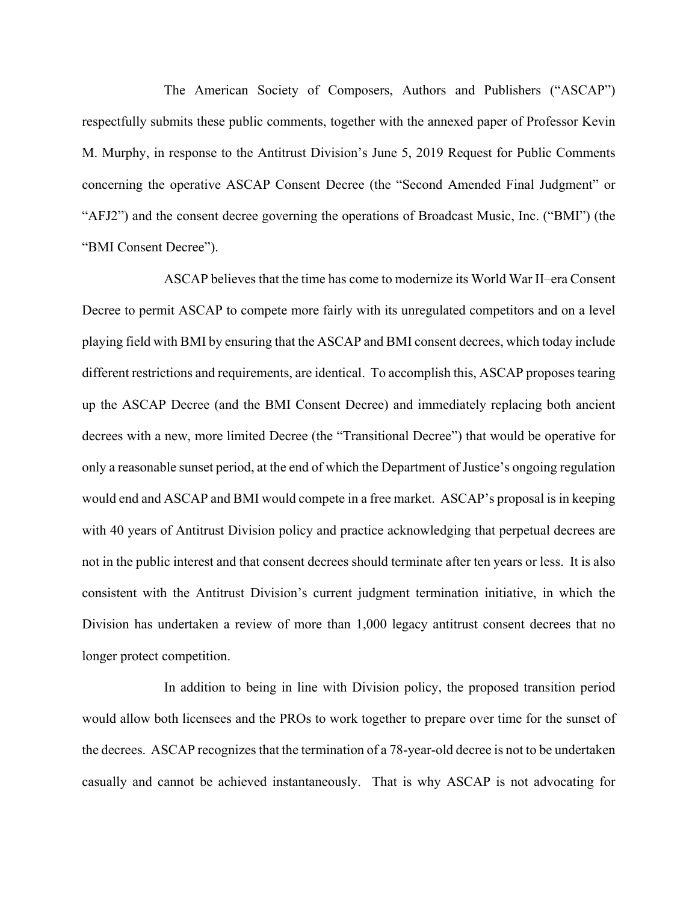The American Society of Composers, Authors and Publishers ("ASCAP") respectfully submits these public comments, together with the annexed paper of Professor Kevin M. Murphy, in response to the Antitrust Division's June 5, 2019 Request for Public Comments concerning the operative ASCAP Consent Decree (the "Second Amended Final Judgment" or "AFJ2") and the consent decree governing the operations of Broadcast Music, Inc. ("BMI") (the "BMI Consent Decree").

ASCAP believes that the time has come to modernize its World War II–era Consent Decree to permit ASCAP to compete more fairly with its unregulated competitors and on a level playing field with BMI by ensuring that the ASCAP and BMI consent decrees, which today include different restrictions and requirements, are identical. To accomplish this, ASCAP proposes tearing up the ASCAP Decree (and the BMI Consent Decree) and immediately replacing both ancient decrees with a new, more limited Decree (the "Transitional Decree") that would be operative for only a reasonable sunset period, at the end of which the Department of Justice's ongoing regulation would end and ASCAP and BMI would compete in a free market. ASCAP's proposal is in keeping with 40 years of Antitrust Division policy and practice acknowledging that perpetual decrees are not in the public interest and that consent decrees should terminate after ten years or less. It is also consistent with the Antitrust Division's current judgment termination initiative, in which the Division has undertaken a review of more than 1,000 legacy antitrust consent decrees that no longer protect competition.

In addition to being in line with Division policy, the proposed transition period would allow both licensees and the PROs to work together to prepare over time for the sunset of the decrees. ASCAP recognizes that the termination of a 78-year-old decree is not to be undertaken casually and cannot be achieved instantaneously. That is why ASCAP is not advocating for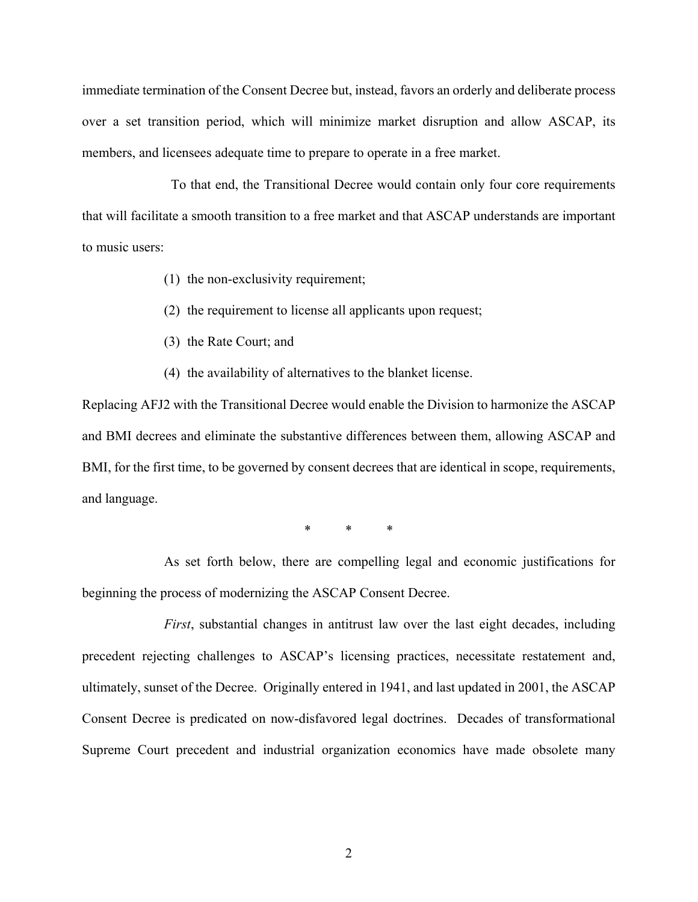immediate termination of the Consent Decree but, instead, favors an orderly and deliberate process over a set transition period, which will minimize market disruption and allow ASCAP, its members, and licensees adequate time to prepare to operate in a free market.

 To that end, the Transitional Decree would contain only four core requirements that will facilitate a smooth transition to a free market and that ASCAP understands are important to music users:

- (1) the non-exclusivity requirement;
- (2) the requirement to license all applicants upon request;
- (3) the Rate Court; and
- (4) the availability of alternatives to the blanket license.

Replacing AFJ2 with the Transitional Decree would enable the Division to harmonize the ASCAP and BMI decrees and eliminate the substantive differences between them, allowing ASCAP and BMI, for the first time, to be governed by consent decrees that are identical in scope, requirements, and language.

\* \* \*

As set forth below, there are compelling legal and economic justifications for beginning the process of modernizing the ASCAP Consent Decree.

*First*, substantial changes in antitrust law over the last eight decades, including precedent rejecting challenges to ASCAP's licensing practices, necessitate restatement and, ultimately, sunset of the Decree. Originally entered in 1941, and last updated in 2001, the ASCAP Consent Decree is predicated on now-disfavored legal doctrines. Decades of transformational Supreme Court precedent and industrial organization economics have made obsolete many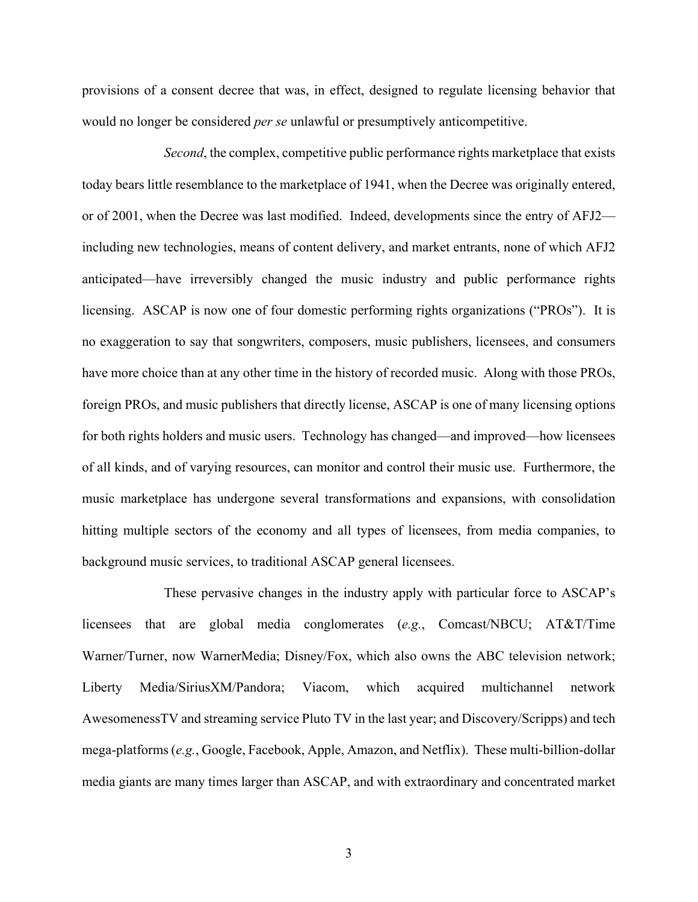provisions of a consent decree that was, in effect, designed to regulate licensing behavior that would no longer be considered *per se* unlawful or presumptively anticompetitive.

*Second*, the complex, competitive public performance rights marketplace that exists today bears little resemblance to the marketplace of 1941, when the Decree was originally entered, or of 2001, when the Decree was last modified. Indeed, developments since the entry of AFJ2 including new technologies, means of content delivery, and market entrants, none of which AFJ2 anticipated—have irreversibly changed the music industry and public performance rights licensing. ASCAP is now one of four domestic performing rights organizations ("PROs"). It is no exaggeration to say that songwriters, composers, music publishers, licensees, and consumers have more choice than at any other time in the history of recorded music. Along with those PROs, foreign PROs, and music publishers that directly license, ASCAP is one of many licensing options for both rights holders and music users. Technology has changed—and improved—how licensees of all kinds, and of varying resources, can monitor and control their music use. Furthermore, the music marketplace has undergone several transformations and expansions, with consolidation hitting multiple sectors of the economy and all types of licensees, from media companies, to background music services, to traditional ASCAP general licensees.

These pervasive changes in the industry apply with particular force to ASCAP's licensees that are global media conglomerates (*e.g.*, Comcast/NBCU; AT&T/Time Warner/Turner, now WarnerMedia; Disney/Fox, which also owns the ABC television network; Liberty Media/SiriusXM/Pandora; Viacom, which acquired multichannel network AwesomenessTV and streaming service Pluto TV in the last year; and Discovery/Scripps) and tech mega-platforms (*e.g.*, Google, Facebook, Apple, Amazon, and Netflix). These multi-billion-dollar media giants are many times larger than ASCAP, and with extraordinary and concentrated market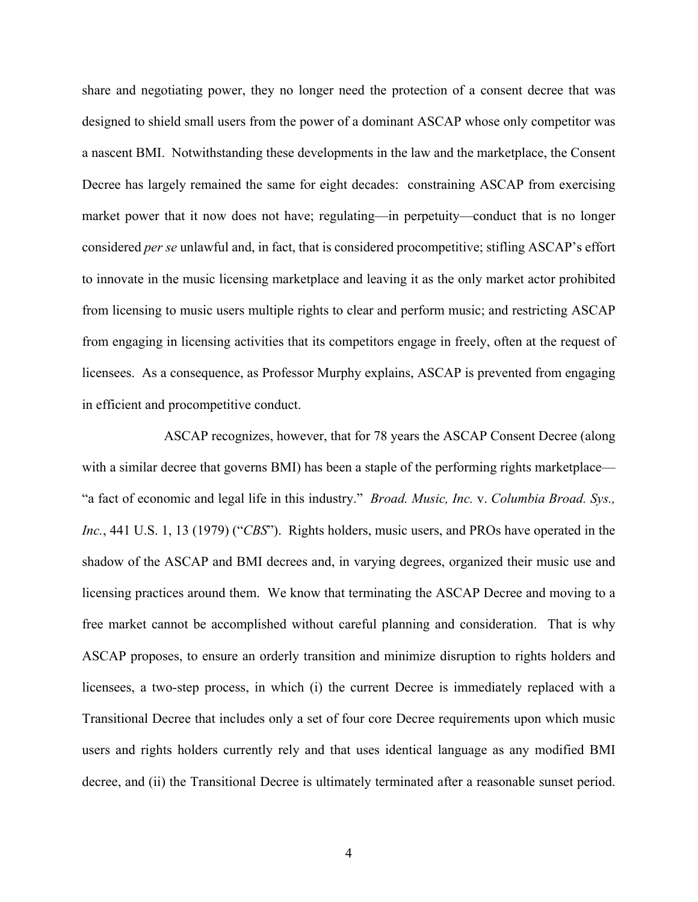share and negotiating power, they no longer need the protection of a consent decree that was designed to shield small users from the power of a dominant ASCAP whose only competitor was a nascent BMI. Notwithstanding these developments in the law and the marketplace, the Consent Decree has largely remained the same for eight decades: constraining ASCAP from exercising market power that it now does not have; regulating—in perpetuity—conduct that is no longer considered *per se* unlawful and, in fact, that is considered procompetitive; stifling ASCAP's effort to innovate in the music licensing marketplace and leaving it as the only market actor prohibited from licensing to music users multiple rights to clear and perform music; and restricting ASCAP from engaging in licensing activities that its competitors engage in freely, often at the request of licensees. As a consequence, as Professor Murphy explains, ASCAP is prevented from engaging in efficient and procompetitive conduct.

ASCAP recognizes, however, that for 78 years the ASCAP Consent Decree (along with a similar decree that governs BMI) has been a staple of the performing rights marketplace— "a fact of economic and legal life in this industry." *Broad. Music, Inc.* v. *Columbia Broad. Sys., Inc.*, 441 U.S. 1, 13 (1979) ("*CBS*"). Rights holders, music users, and PROs have operated in the shadow of the ASCAP and BMI decrees and, in varying degrees, organized their music use and licensing practices around them. We know that terminating the ASCAP Decree and moving to a free market cannot be accomplished without careful planning and consideration. That is why ASCAP proposes, to ensure an orderly transition and minimize disruption to rights holders and licensees, a two-step process, in which (i) the current Decree is immediately replaced with a Transitional Decree that includes only a set of four core Decree requirements upon which music users and rights holders currently rely and that uses identical language as any modified BMI decree, and (ii) the Transitional Decree is ultimately terminated after a reasonable sunset period.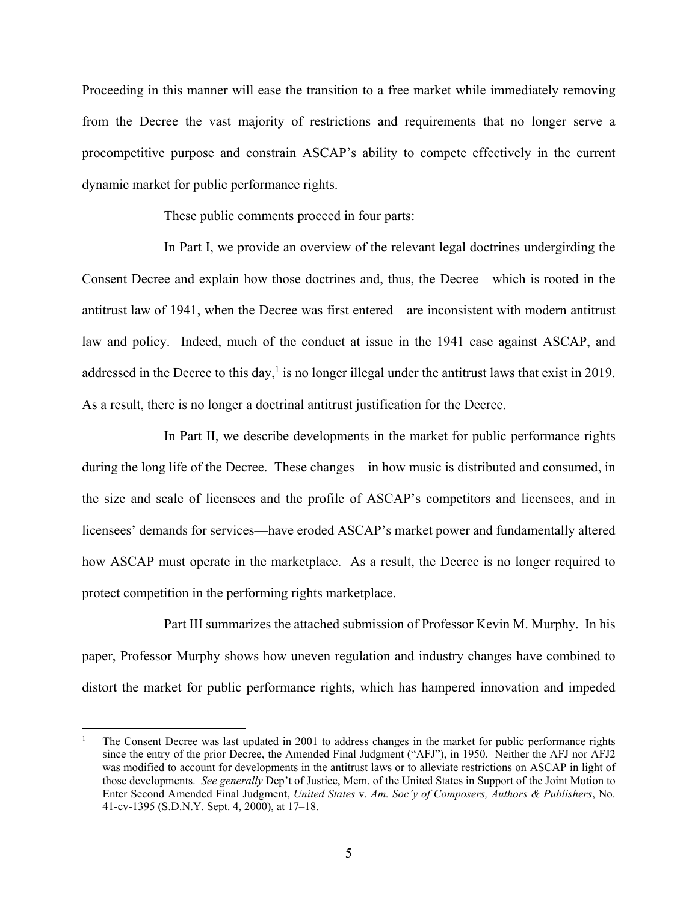Proceeding in this manner will ease the transition to a free market while immediately removing from the Decree the vast majority of restrictions and requirements that no longer serve a procompetitive purpose and constrain ASCAP's ability to compete effectively in the current dynamic market for public performance rights.

These public comments proceed in four parts:

In Part I, we provide an overview of the relevant legal doctrines undergirding the Consent Decree and explain how those doctrines and, thus, the Decree—which is rooted in the antitrust law of 1941, when the Decree was first entered—are inconsistent with modern antitrust law and policy. Indeed, much of the conduct at issue in the 1941 case against ASCAP, and addressed in the Decree to this day,<sup>1</sup> is no longer illegal under the antitrust laws that exist in 2019. As a result, there is no longer a doctrinal antitrust justification for the Decree.

In Part II, we describe developments in the market for public performance rights during the long life of the Decree. These changes—in how music is distributed and consumed, in the size and scale of licensees and the profile of ASCAP's competitors and licensees, and in licensees' demands for services—have eroded ASCAP's market power and fundamentally altered how ASCAP must operate in the marketplace. As a result, the Decree is no longer required to protect competition in the performing rights marketplace.

Part III summarizes the attached submission of Professor Kevin M. Murphy. In his paper, Professor Murphy shows how uneven regulation and industry changes have combined to distort the market for public performance rights, which has hampered innovation and impeded

<sup>1</sup> The Consent Decree was last updated in 2001 to address changes in the market for public performance rights since the entry of the prior Decree, the Amended Final Judgment ("AFJ"), in 1950. Neither the AFJ nor AFJ2 was modified to account for developments in the antitrust laws or to alleviate restrictions on ASCAP in light of those developments. *See generally* Dep't of Justice, Mem. of the United States in Support of the Joint Motion to Enter Second Amended Final Judgment, *United States* v. *Am. Soc'y of Composers, Authors & Publishers*, No. 41-cv-1395 (S.D.N.Y. Sept. 4, 2000), at 17–18.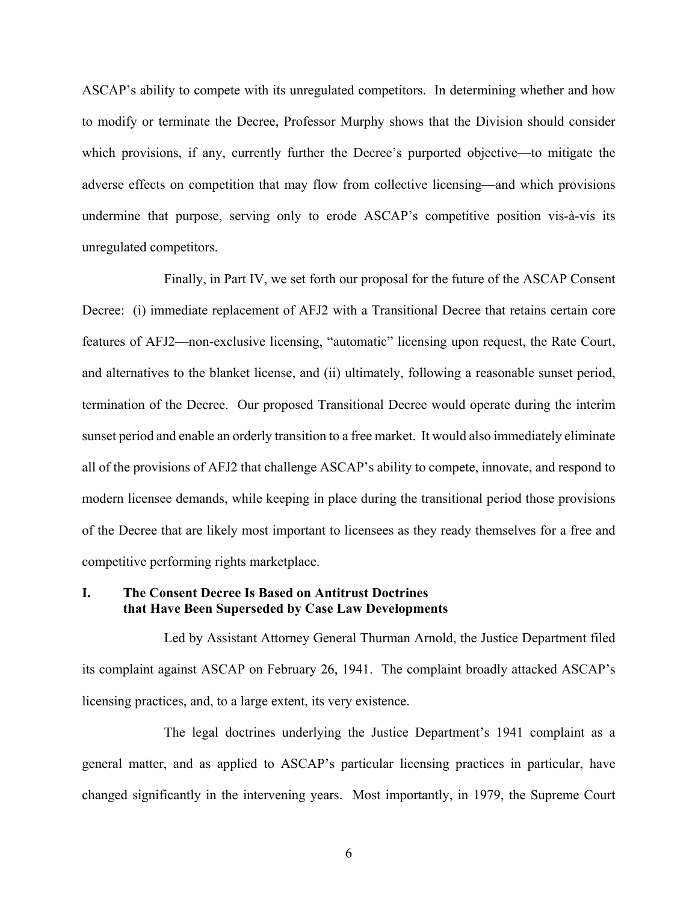ASCAP's ability to compete with its unregulated competitors. In determining whether and how to modify or terminate the Decree, Professor Murphy shows that the Division should consider which provisions, if any, currently further the Decree's purported objective—to mitigate the adverse effects on competition that may flow from collective licensing—and which provisions undermine that purpose, serving only to erode ASCAP's competitive position vis-à-vis its unregulated competitors.

Finally, in Part IV, we set forth our proposal for the future of the ASCAP Consent Decree: (i) immediate replacement of AFJ2 with a Transitional Decree that retains certain core features of AFJ2—non-exclusive licensing, "automatic" licensing upon request, the Rate Court, and alternatives to the blanket license, and (ii) ultimately, following a reasonable sunset period, termination of the Decree. Our proposed Transitional Decree would operate during the interim sunset period and enable an orderly transition to a free market. It would also immediately eliminate all of the provisions of AFJ2 that challenge ASCAP's ability to compete, innovate, and respond to modern licensee demands, while keeping in place during the transitional period those provisions of the Decree that are likely most important to licensees as they ready themselves for a free and competitive performing rights marketplace.

### **I. The Consent Decree Is Based on Antitrust Doctrines that Have Been Superseded by Case Law Developments**

Led by Assistant Attorney General Thurman Arnold, the Justice Department filed its complaint against ASCAP on February 26, 1941. The complaint broadly attacked ASCAP's licensing practices, and, to a large extent, its very existence.

The legal doctrines underlying the Justice Department's 1941 complaint as a general matter, and as applied to ASCAP's particular licensing practices in particular, have changed significantly in the intervening years. Most importantly, in 1979, the Supreme Court

6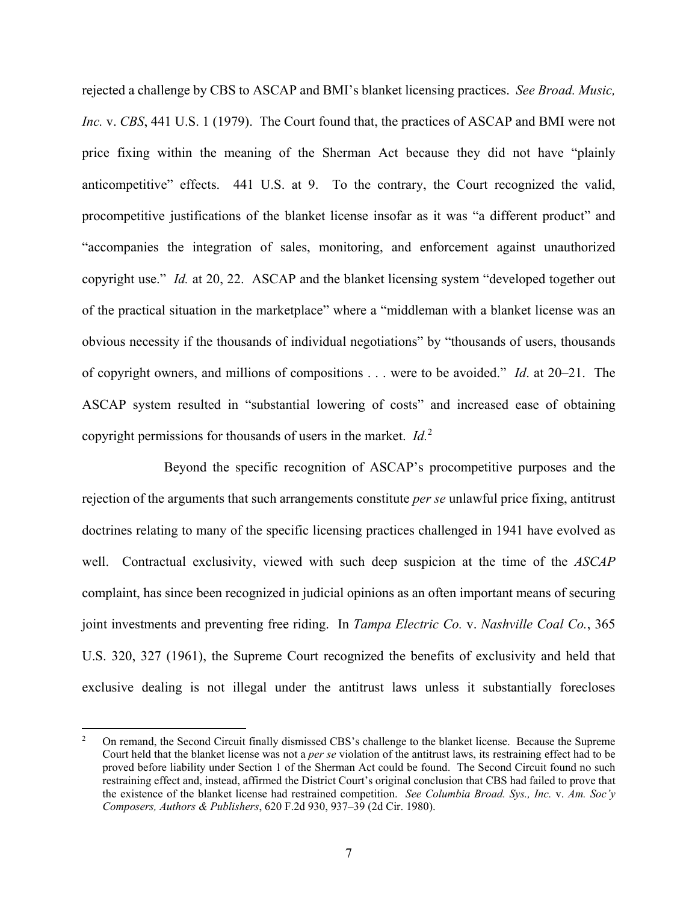rejected a challenge by CBS to ASCAP and BMI's blanket licensing practices. *See Broad. Music, Inc.* v. *CBS*, 441 U.S. 1 (1979). The Court found that, the practices of ASCAP and BMI were not price fixing within the meaning of the Sherman Act because they did not have "plainly anticompetitive" effects. 441 U.S. at 9. To the contrary, the Court recognized the valid, procompetitive justifications of the blanket license insofar as it was "a different product" and "accompanies the integration of sales, monitoring, and enforcement against unauthorized copyright use." *Id.* at 20, 22. ASCAP and the blanket licensing system "developed together out of the practical situation in the marketplace" where a "middleman with a blanket license was an obvious necessity if the thousands of individual negotiations" by "thousands of users, thousands of copyright owners, and millions of compositions . . . were to be avoided." *Id*. at 20–21. The ASCAP system resulted in "substantial lowering of costs" and increased ease of obtaining copyright permissions for thousands of users in the market. *Id.*<sup>2</sup>

Beyond the specific recognition of ASCAP's procompetitive purposes and the rejection of the arguments that such arrangements constitute *per se* unlawful price fixing, antitrust doctrines relating to many of the specific licensing practices challenged in 1941 have evolved as well. Contractual exclusivity, viewed with such deep suspicion at the time of the *ASCAP* complaint, has since been recognized in judicial opinions as an often important means of securing joint investments and preventing free riding. In *Tampa Electric Co.* v. *Nashville Coal Co.*, 365 U.S. 320, 327 (1961), the Supreme Court recognized the benefits of exclusivity and held that exclusive dealing is not illegal under the antitrust laws unless it substantially forecloses

<u>.</u>

<sup>2</sup> On remand, the Second Circuit finally dismissed CBS's challenge to the blanket license. Because the Supreme Court held that the blanket license was not a *per se* violation of the antitrust laws, its restraining effect had to be proved before liability under Section 1 of the Sherman Act could be found. The Second Circuit found no such restraining effect and, instead, affirmed the District Court's original conclusion that CBS had failed to prove that the existence of the blanket license had restrained competition. *See Columbia Broad. Sys., Inc.* v. *Am. Soc'y Composers, Authors & Publishers*, 620 F.2d 930, 937–39 (2d Cir. 1980).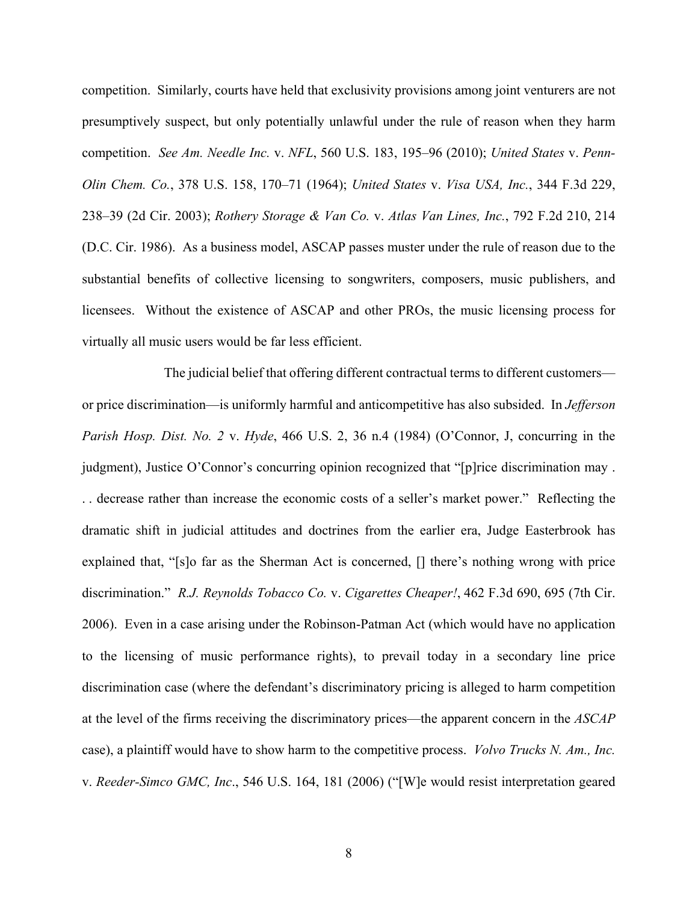competition. Similarly, courts have held that exclusivity provisions among joint venturers are not presumptively suspect, but only potentially unlawful under the rule of reason when they harm competition. *See Am. Needle Inc.* v. *NFL*, 560 U.S. 183, 195–96 (2010); *United States* v. *Penn-Olin Chem. Co.*, 378 U.S. 158, 170–71 (1964); *United States* v. *Visa USA, Inc.*, 344 F.3d 229, 238–39 (2d Cir. 2003); *Rothery Storage & Van Co.* v. *Atlas Van Lines, Inc.*, 792 F.2d 210, 214 (D.C. Cir. 1986). As a business model, ASCAP passes muster under the rule of reason due to the substantial benefits of collective licensing to songwriters, composers, music publishers, and licensees. Without the existence of ASCAP and other PROs, the music licensing process for virtually all music users would be far less efficient.

The judicial belief that offering different contractual terms to different customers or price discrimination—is uniformly harmful and anticompetitive has also subsided. In *Jefferson Parish Hosp. Dist. No. 2* v. *Hyde*, 466 U.S. 2, 36 n.4 (1984) (O'Connor, J, concurring in the judgment), Justice O'Connor's concurring opinion recognized that "[p]rice discrimination may. . . decrease rather than increase the economic costs of a seller's market power." Reflecting the dramatic shift in judicial attitudes and doctrines from the earlier era, Judge Easterbrook has explained that, "[s]o far as the Sherman Act is concerned, [] there's nothing wrong with price discrimination." *R.J. Reynolds Tobacco Co.* v. *Cigarettes Cheaper!*, 462 F.3d 690, 695 (7th Cir. 2006). Even in a case arising under the Robinson-Patman Act (which would have no application to the licensing of music performance rights), to prevail today in a secondary line price discrimination case (where the defendant's discriminatory pricing is alleged to harm competition at the level of the firms receiving the discriminatory prices—the apparent concern in the *ASCAP* case), a plaintiff would have to show harm to the competitive process. *Volvo Trucks N. Am., Inc.*  v. *Reeder-Simco GMC, Inc*., 546 U.S. 164, 181 (2006) ("[W]e would resist interpretation geared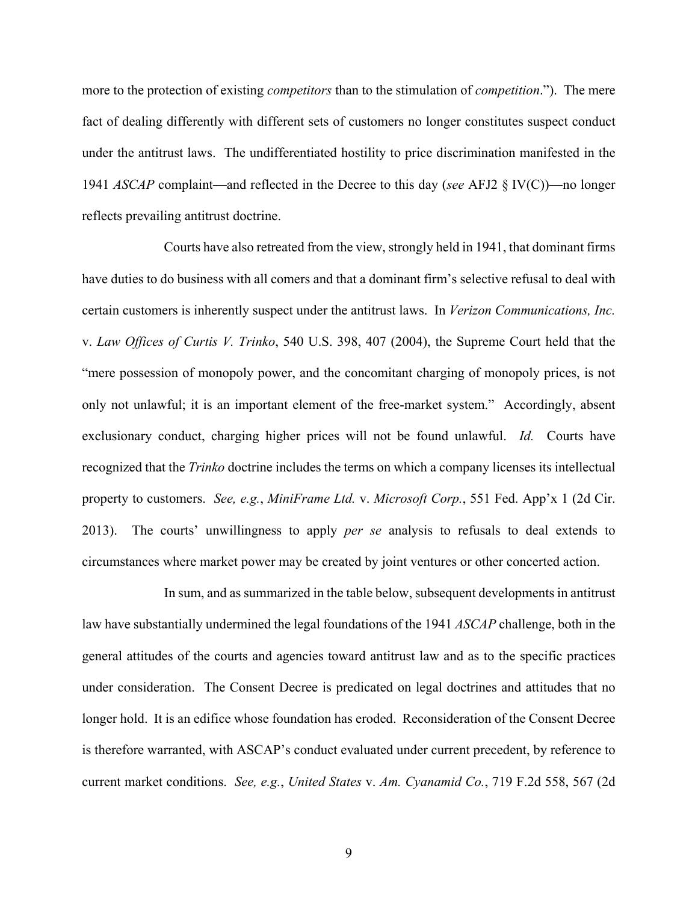more to the protection of existing *competitors* than to the stimulation of *competition*."). The mere fact of dealing differently with different sets of customers no longer constitutes suspect conduct under the antitrust laws. The undifferentiated hostility to price discrimination manifested in the 1941 *ASCAP* complaint—and reflected in the Decree to this day (*see* AFJ2 § IV(C))—no longer reflects prevailing antitrust doctrine.

Courts have also retreated from the view, strongly held in 1941, that dominant firms have duties to do business with all comers and that a dominant firm's selective refusal to deal with certain customers is inherently suspect under the antitrust laws. In *Verizon Communications, Inc.*  v. *Law Offices of Curtis V. Trinko*, 540 U.S. 398, 407 (2004), the Supreme Court held that the "mere possession of monopoly power, and the concomitant charging of monopoly prices, is not only not unlawful; it is an important element of the free-market system." Accordingly, absent exclusionary conduct, charging higher prices will not be found unlawful. *Id.* Courts have recognized that the *Trinko* doctrine includes the terms on which a company licenses its intellectual property to customers. *See, e.g.*, *MiniFrame Ltd.* v. *Microsoft Corp.*, 551 Fed. App'x 1 (2d Cir. 2013). The courts' unwillingness to apply *per se* analysis to refusals to deal extends to circumstances where market power may be created by joint ventures or other concerted action.

In sum, and as summarized in the table below, subsequent developments in antitrust law have substantially undermined the legal foundations of the 1941 *ASCAP* challenge, both in the general attitudes of the courts and agencies toward antitrust law and as to the specific practices under consideration. The Consent Decree is predicated on legal doctrines and attitudes that no longer hold. It is an edifice whose foundation has eroded. Reconsideration of the Consent Decree is therefore warranted, with ASCAP's conduct evaluated under current precedent, by reference to current market conditions. *See, e.g.*, *United States* v. *Am. Cyanamid Co.*, 719 F.2d 558, 567 (2d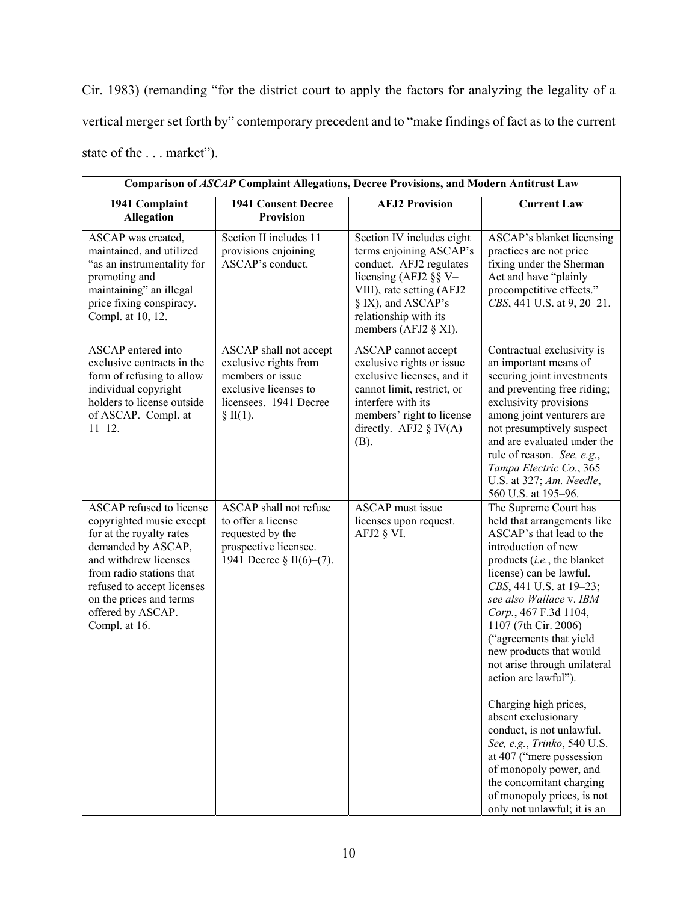Cir. 1983) (remanding "for the district court to apply the factors for analyzing the legality of a vertical merger set forth by" contemporary precedent and to "make findings of fact as to the current state of the . . . market").

| Comparison of ASCAP Complaint Allegations, Decree Provisions, and Modern Antitrust Law                                                                                                                                                                            |                                                                                                                                     |                                                                                                                                                                                                                  |                                                                                                                                                                                                                                                                                                                                                                                                                                                                                                                                                                                                                                                   |  |  |
|-------------------------------------------------------------------------------------------------------------------------------------------------------------------------------------------------------------------------------------------------------------------|-------------------------------------------------------------------------------------------------------------------------------------|------------------------------------------------------------------------------------------------------------------------------------------------------------------------------------------------------------------|---------------------------------------------------------------------------------------------------------------------------------------------------------------------------------------------------------------------------------------------------------------------------------------------------------------------------------------------------------------------------------------------------------------------------------------------------------------------------------------------------------------------------------------------------------------------------------------------------------------------------------------------------|--|--|
| 1941 Complaint<br>Allegation                                                                                                                                                                                                                                      | <b>1941 Consent Decree</b><br><b>Provision</b>                                                                                      | <b>AFJ2 Provision</b>                                                                                                                                                                                            | <b>Current Law</b>                                                                                                                                                                                                                                                                                                                                                                                                                                                                                                                                                                                                                                |  |  |
| ASCAP was created,<br>maintained, and utilized<br>"as an instrumentality for<br>promoting and<br>maintaining" an illegal<br>price fixing conspiracy.<br>Compl. at 10, 12.                                                                                         | Section II includes 11<br>provisions enjoining<br>ASCAP's conduct.                                                                  | Section IV includes eight<br>terms enjoining ASCAP's<br>conduct. AFJ2 regulates<br>licensing (AFJ2 $\S$ § V-<br>VIII), rate setting (AFJ2<br>§ IX), and ASCAP's<br>relationship with its<br>members (AFJ2 § XI). | ASCAP's blanket licensing<br>practices are not price<br>fixing under the Sherman<br>Act and have "plainly<br>procompetitive effects."<br>CBS, 441 U.S. at 9, 20-21.                                                                                                                                                                                                                                                                                                                                                                                                                                                                               |  |  |
| ASCAP entered into<br>exclusive contracts in the<br>form of refusing to allow<br>individual copyright<br>holders to license outside<br>of ASCAP. Compl. at<br>$11 - 12.$                                                                                          | ASCAP shall not accept<br>exclusive rights from<br>members or issue<br>exclusive licenses to<br>licensees. 1941 Decree<br>\$~II(1). | ASCAP cannot accept<br>exclusive rights or issue<br>exclusive licenses, and it<br>cannot limit, restrict, or<br>interfere with its<br>members' right to license<br>directly. AFJ2 $\S$ IV(A)–<br>(B).            | Contractual exclusivity is<br>an important means of<br>securing joint investments<br>and preventing free riding;<br>exclusivity provisions<br>among joint venturers are<br>not presumptively suspect<br>and are evaluated under the<br>rule of reason. See, e.g.,<br>Tampa Electric Co., 365<br>U.S. at 327; Am. Needle,<br>560 U.S. at 195-96.                                                                                                                                                                                                                                                                                                   |  |  |
| <b>ASCAP</b> refused to license<br>copyrighted music except<br>for at the royalty rates<br>demanded by ASCAP,<br>and withdrew licenses<br>from radio stations that<br>refused to accept licenses<br>on the prices and terms<br>offered by ASCAP.<br>Compl. at 16. | ASCAP shall not refuse<br>to offer a license<br>requested by the<br>prospective licensee.<br>1941 Decree § II(6)–(7).               | <b>ASCAP</b> must issue<br>licenses upon request.<br>AFJ2 § VI.                                                                                                                                                  | The Supreme Court has<br>held that arrangements like<br>ASCAP's that lead to the<br>introduction of new<br>products (i.e., the blanket<br>license) can be lawful.<br>CBS, 441 U.S. at 19-23;<br>see also Wallace v. IBM<br>Corp., 467 F.3d 1104,<br>1107 (7th Cir. 2006)<br>("agreements that yield<br>new products that would<br>not arise through unilateral<br>action are lawful").<br>Charging high prices,<br>absent exclusionary<br>conduct, is not unlawful.<br>See, e.g., Trinko, 540 U.S.<br>at 407 ("mere possession<br>of monopoly power, and<br>the concomitant charging<br>of monopoly prices, is not<br>only not unlawful; it is an |  |  |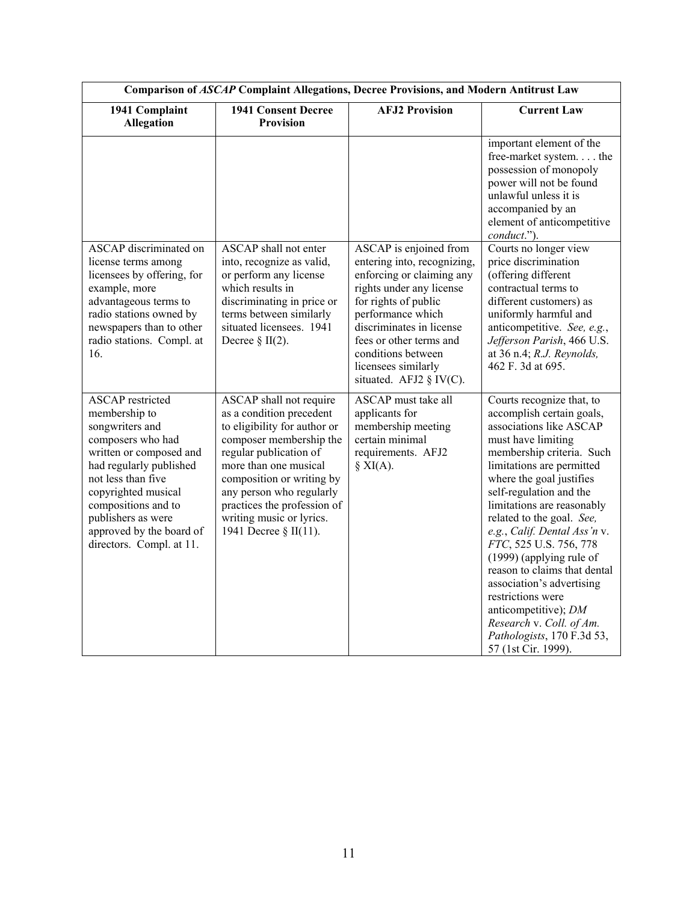| Comparison of ASCAP Complaint Allegations, Decree Provisions, and Modern Antitrust Law                                                                                                                                                                                                   |                                                                                                                                                                                                                                                                                                                |                                                                                                                                                                                                                                                                                            |                                                                                                                                                                                                                                                                                                                                                                                                                                                                                                                                                                      |  |  |
|------------------------------------------------------------------------------------------------------------------------------------------------------------------------------------------------------------------------------------------------------------------------------------------|----------------------------------------------------------------------------------------------------------------------------------------------------------------------------------------------------------------------------------------------------------------------------------------------------------------|--------------------------------------------------------------------------------------------------------------------------------------------------------------------------------------------------------------------------------------------------------------------------------------------|----------------------------------------------------------------------------------------------------------------------------------------------------------------------------------------------------------------------------------------------------------------------------------------------------------------------------------------------------------------------------------------------------------------------------------------------------------------------------------------------------------------------------------------------------------------------|--|--|
| 1941 Complaint<br><b>Allegation</b>                                                                                                                                                                                                                                                      | <b>1941 Consent Decree</b><br>Provision                                                                                                                                                                                                                                                                        | <b>AFJ2 Provision</b>                                                                                                                                                                                                                                                                      | <b>Current Law</b>                                                                                                                                                                                                                                                                                                                                                                                                                                                                                                                                                   |  |  |
|                                                                                                                                                                                                                                                                                          |                                                                                                                                                                                                                                                                                                                |                                                                                                                                                                                                                                                                                            | important element of the<br>free-market system the<br>possession of monopoly<br>power will not be found<br>unlawful unless it is<br>accompanied by an<br>element of anticompetitive<br>conduct.").                                                                                                                                                                                                                                                                                                                                                                   |  |  |
| ASCAP discriminated on<br>license terms among<br>licensees by offering, for<br>example, more<br>advantageous terms to<br>radio stations owned by<br>newspapers than to other<br>radio stations. Compl. at<br>16.                                                                         | ASCAP shall not enter<br>into, recognize as valid,<br>or perform any license<br>which results in<br>discriminating in price or<br>terms between similarly<br>situated licensees. 1941<br>Decree $\S$ II(2).                                                                                                    | ASCAP is enjoined from<br>entering into, recognizing,<br>enforcing or claiming any<br>rights under any license<br>for rights of public<br>performance which<br>discriminates in license<br>fees or other terms and<br>conditions between<br>licensees similarly<br>situated. AFJ2 § IV(C). | Courts no longer view<br>price discrimination<br>(offering different<br>contractual terms to<br>different customers) as<br>uniformly harmful and<br>anticompetitive. See, e.g.,<br>Jefferson Parish, 466 U.S.<br>at 36 n.4; R.J. Reynolds,<br>462 F. 3d at 695.                                                                                                                                                                                                                                                                                                      |  |  |
| <b>ASCAP</b> restricted<br>membership to<br>songwriters and<br>composers who had<br>written or composed and<br>had regularly published<br>not less than five<br>copyrighted musical<br>compositions and to<br>publishers as were<br>approved by the board of<br>directors. Compl. at 11. | ASCAP shall not require<br>as a condition precedent<br>to eligibility for author or<br>composer membership the<br>regular publication of<br>more than one musical<br>composition or writing by<br>any person who regularly<br>practices the profession of<br>writing music or lyrics.<br>1941 Decree § II(11). | <b>ASCAP</b> must take all<br>applicants for<br>membership meeting<br>certain minimal<br>requirements. AFJ2<br>$\S$ XI(A).                                                                                                                                                                 | Courts recognize that, to<br>accomplish certain goals,<br>associations like ASCAP<br>must have limiting<br>membership criteria. Such<br>limitations are permitted<br>where the goal justifies<br>self-regulation and the<br>limitations are reasonably<br>related to the goal. See,<br>e.g., Calif. Dental Ass'n v.<br>FTC, 525 U.S. 756, 778<br>(1999) (applying rule of<br>reason to claims that dental<br>association's advertising<br>restrictions were<br>anticompetitive); DM<br>Research v. Coll. of Am.<br>Pathologists, 170 F.3d 53,<br>57 (1st Cir. 1999). |  |  |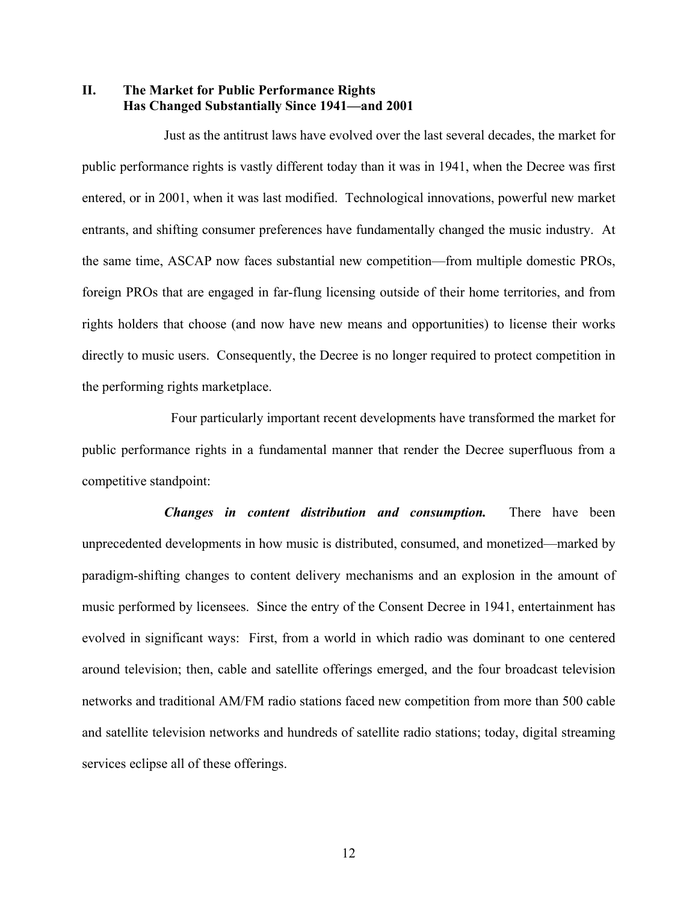### **II. The Market for Public Performance Rights Has Changed Substantially Since 1941—and 2001**

Just as the antitrust laws have evolved over the last several decades, the market for public performance rights is vastly different today than it was in 1941, when the Decree was first entered, or in 2001, when it was last modified. Technological innovations, powerful new market entrants, and shifting consumer preferences have fundamentally changed the music industry. At the same time, ASCAP now faces substantial new competition—from multiple domestic PROs, foreign PROs that are engaged in far-flung licensing outside of their home territories, and from rights holders that choose (and now have new means and opportunities) to license their works directly to music users. Consequently, the Decree is no longer required to protect competition in the performing rights marketplace.

 Four particularly important recent developments have transformed the market for public performance rights in a fundamental manner that render the Decree superfluous from a competitive standpoint:

*Changes in content distribution and consumption.* There have been unprecedented developments in how music is distributed, consumed, and monetized—marked by paradigm-shifting changes to content delivery mechanisms and an explosion in the amount of music performed by licensees. Since the entry of the Consent Decree in 1941, entertainment has evolved in significant ways: First, from a world in which radio was dominant to one centered around television; then, cable and satellite offerings emerged, and the four broadcast television networks and traditional AM/FM radio stations faced new competition from more than 500 cable and satellite television networks and hundreds of satellite radio stations; today, digital streaming services eclipse all of these offerings.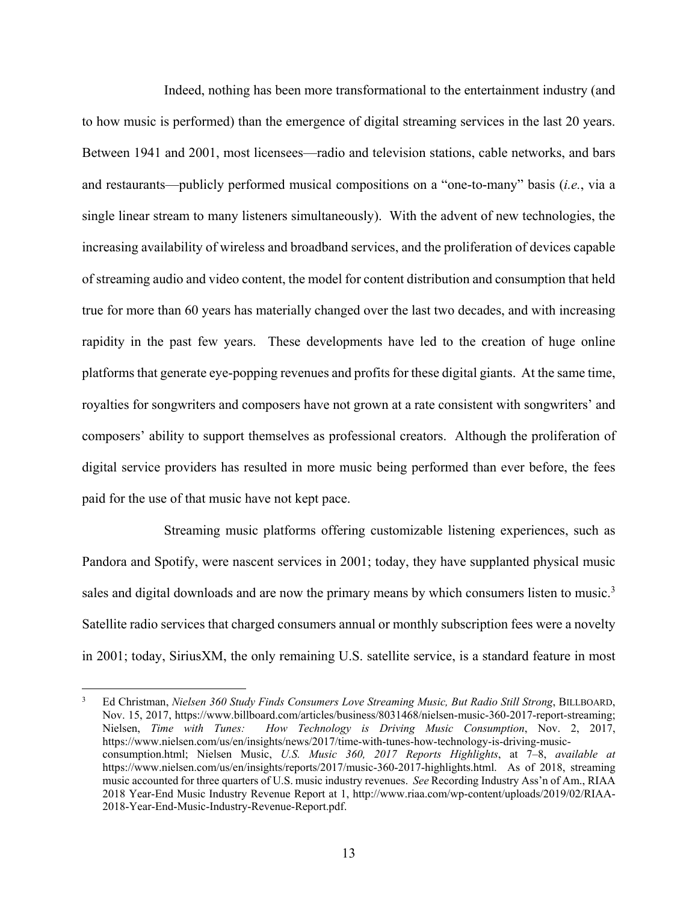Indeed, nothing has been more transformational to the entertainment industry (and to how music is performed) than the emergence of digital streaming services in the last 20 years. Between 1941 and 2001, most licensees—radio and television stations, cable networks, and bars and restaurants—publicly performed musical compositions on a "one-to-many" basis (*i.e.*, via a single linear stream to many listeners simultaneously). With the advent of new technologies, the increasing availability of wireless and broadband services, and the proliferation of devices capable of streaming audio and video content, the model for content distribution and consumption that held true for more than 60 years has materially changed over the last two decades, and with increasing rapidity in the past few years. These developments have led to the creation of huge online platforms that generate eye-popping revenues and profits for these digital giants. At the same time, royalties for songwriters and composers have not grown at a rate consistent with songwriters' and composers' ability to support themselves as professional creators. Although the proliferation of digital service providers has resulted in more music being performed than ever before, the fees paid for the use of that music have not kept pace.

Streaming music platforms offering customizable listening experiences, such as Pandora and Spotify, were nascent services in 2001; today, they have supplanted physical music sales and digital downloads and are now the primary means by which consumers listen to music.<sup>3</sup> Satellite radio services that charged consumers annual or monthly subscription fees were a novelty in 2001; today, SiriusXM, the only remaining U.S. satellite service, is a standard feature in most

<u>.</u>

<sup>3</sup> Ed Christman, *Nielsen 360 Study Finds Consumers Love Streaming Music, But Radio Still Strong*, BILLBOARD, Nov. 15, 2017, https://www.billboard.com/articles/business/8031468/nielsen-music-360-2017-report-streaming; Nielsen, *Time with Tunes: How Technology is Driving Music Consumption*, Nov. 2, 2017, https://www.nielsen.com/us/en/insights/news/2017/time-with-tunes-how-technology-is-driving-musicconsumption.html; Nielsen Music, *U.S. Music 360, 2017 Reports Highlights*, at 7–8, *available at* https://www.nielsen.com/us/en/insights/reports/2017/music-360-2017-highlights.html. As of 2018, streaming music accounted for three quarters of U.S. music industry revenues. *See* Recording Industry Ass'n of Am., RIAA 2018 Year-End Music Industry Revenue Report at 1, http://www.riaa.com/wp-content/uploads/2019/02/RIAA-2018-Year-End-Music-Industry-Revenue-Report.pdf.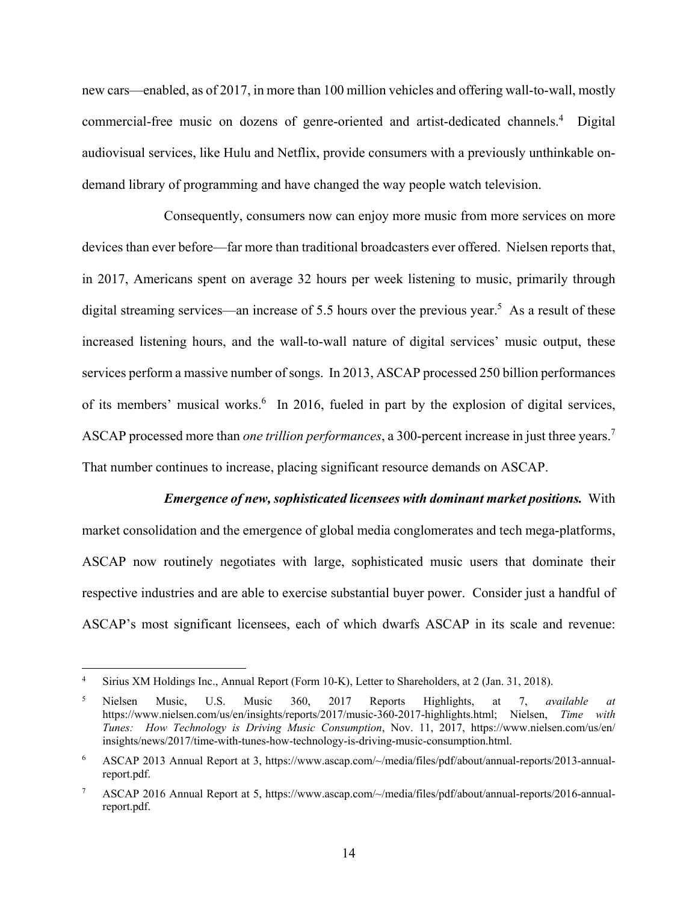new cars—enabled, as of 2017, in more than 100 million vehicles and offering wall-to-wall, mostly commercial-free music on dozens of genre-oriented and artist-dedicated channels.<sup>4</sup> Digital audiovisual services, like Hulu and Netflix, provide consumers with a previously unthinkable ondemand library of programming and have changed the way people watch television.

Consequently, consumers now can enjoy more music from more services on more devices than ever before—far more than traditional broadcasters ever offered. Nielsen reports that, in 2017, Americans spent on average 32 hours per week listening to music, primarily through digital streaming services—an increase of 5.5 hours over the previous year.<sup>5</sup> As a result of these increased listening hours, and the wall-to-wall nature of digital services' music output, these services perform a massive number of songs. In 2013, ASCAP processed 250 billion performances of its members' musical works.<sup>6</sup> In 2016, fueled in part by the explosion of digital services, ASCAP processed more than *one trillion performances*, a 300-percent increase in just three years.<sup>7</sup> That number continues to increase, placing significant resource demands on ASCAP.

*Emergence of new, sophisticated licensees with dominant market positions.* With market consolidation and the emergence of global media conglomerates and tech mega-platforms, ASCAP now routinely negotiates with large, sophisticated music users that dominate their respective industries and are able to exercise substantial buyer power. Consider just a handful of ASCAP's most significant licensees, each of which dwarfs ASCAP in its scale and revenue:

<u>.</u>

<sup>4</sup> Sirius XM Holdings Inc., Annual Report (Form 10-K), Letter to Shareholders, at 2 (Jan. 31, 2018).

<sup>5</sup> Nielsen Music, U.S. Music 360, 2017 Reports Highlights, at 7, *available at* https://www.nielsen.com/us/en/insights/reports/2017/music-360-2017-highlights.html; Nielsen, *Time with Tunes: How Technology is Driving Music Consumption*, Nov. 11, 2017, https://www.nielsen.com/us/en/ insights/news/2017/time-with-tunes-how-technology-is-driving-music-consumption.html.

<sup>6</sup> ASCAP 2013 Annual Report at 3, https://www.ascap.com/~/media/files/pdf/about/annual-reports/2013-annualreport.pdf.

<sup>7</sup> ASCAP 2016 Annual Report at 5, https://www.ascap.com/~/media/files/pdf/about/annual-reports/2016-annualreport.pdf.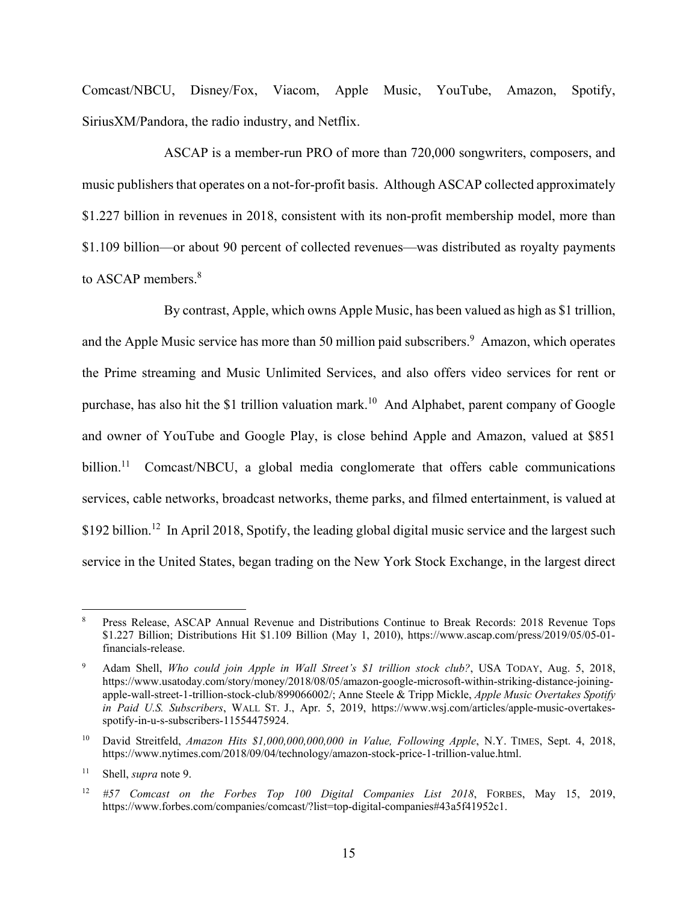Comcast/NBCU, Disney/Fox, Viacom, Apple Music, YouTube, Amazon, Spotify, SiriusXM/Pandora, the radio industry, and Netflix.

ASCAP is a member-run PRO of more than 720,000 songwriters, composers, and music publishers that operates on a not-for-profit basis. Although ASCAP collected approximately \$1.227 billion in revenues in 2018, consistent with its non-profit membership model, more than \$1.109 billion—or about 90 percent of collected revenues—was distributed as royalty payments to ASCAP members.<sup>8</sup>

By contrast, Apple, which owns Apple Music, has been valued as high as \$1 trillion, and the Apple Music service has more than 50 million paid subscribers.<sup>9</sup> Amazon, which operates the Prime streaming and Music Unlimited Services, and also offers video services for rent or purchase, has also hit the \$1 trillion valuation mark.<sup>10</sup> And Alphabet, parent company of Google and owner of YouTube and Google Play, is close behind Apple and Amazon, valued at \$851 billion.<sup>11</sup> Comcast/NBCU, a global media conglomerate that offers cable communications services, cable networks, broadcast networks, theme parks, and filmed entertainment, is valued at \$192 billion.<sup>12</sup> In April 2018, Spotify, the leading global digital music service and the largest such service in the United States, began trading on the New York Stock Exchange, in the largest direct

<sup>8</sup> Press Release, ASCAP Annual Revenue and Distributions Continue to Break Records: 2018 Revenue Tops \$1.227 Billion; Distributions Hit \$1.109 Billion (May 1, 2010), https://www.ascap.com/press/2019/05/05-01 financials-release.

<sup>9</sup> Adam Shell, *Who could join Apple in Wall Street's \$1 trillion stock club?*, USA TODAY, Aug. 5, 2018, https://www.usatoday.com/story/money/2018/08/05/amazon-google-microsoft-within-striking-distance-joiningapple-wall-street-1-trillion-stock-club/899066002/; Anne Steele & Tripp Mickle, *Apple Music Overtakes Spotify in Paid U.S. Subscribers*, WALL ST. J., Apr. 5, 2019, https://www.wsj.com/articles/apple-music-overtakesspotify-in-u-s-subscribers-11554475924.

<sup>10</sup> David Streitfeld, *Amazon Hits \$1,000,000,000,000 in Value, Following Apple*, N.Y. TIMES, Sept. 4, 2018, https://www.nytimes.com/2018/09/04/technology/amazon-stock-price-1-trillion-value.html.

<sup>11</sup> Shell, *supra* note 9.

<sup>12</sup> *#57 Comcast on the Forbes Top 100 Digital Companies List 2018*, FORBES, May 15, 2019, https://www.forbes.com/companies/comcast/?list=top-digital-companies#43a5f41952c1.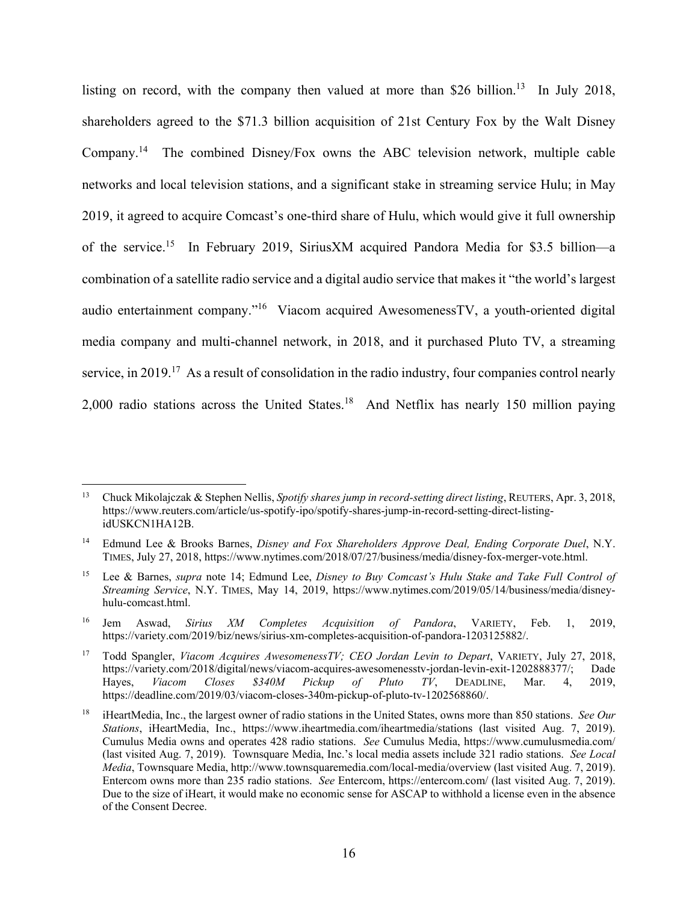listing on record, with the company then valued at more than \$26 billion.<sup>13</sup> In July 2018, shareholders agreed to the \$71.3 billion acquisition of 21st Century Fox by the Walt Disney Company.14 The combined Disney/Fox owns the ABC television network, multiple cable networks and local television stations, and a significant stake in streaming service Hulu; in May 2019, it agreed to acquire Comcast's one-third share of Hulu, which would give it full ownership of the service.15 In February 2019, SiriusXM acquired Pandora Media for \$3.5 billion—a combination of a satellite radio service and a digital audio service that makes it "the world's largest audio entertainment company."16 Viacom acquired AwesomenessTV, a youth-oriented digital media company and multi-channel network, in 2018, and it purchased Pluto TV, a streaming service, in 2019.<sup>17</sup> As a result of consolidation in the radio industry, four companies control nearly 2,000 radio stations across the United States.<sup>18</sup> And Netflix has nearly 150 million paying

<sup>13</sup> Chuck Mikolajczak & Stephen Nellis, *Spotify shares jump in record-setting direct listing*, REUTERS, Apr. 3, 2018, https://www.reuters.com/article/us-spotify-ipo/spotify-shares-jump-in-record-setting-direct-listingidUSKCN1HA12B.

<sup>14</sup> Edmund Lee & Brooks Barnes, *Disney and Fox Shareholders Approve Deal, Ending Corporate Duel*, N.Y. TIMES, July 27, 2018, https://www.nytimes.com/2018/07/27/business/media/disney-fox-merger-vote.html.

<sup>15</sup> Lee & Barnes, *supra* note 14; Edmund Lee, *Disney to Buy Comcast's Hulu Stake and Take Full Control of Streaming Service*, N.Y. TIMES, May 14, 2019, https://www.nytimes.com/2019/05/14/business/media/disneyhulu-comcast.html.

<sup>16</sup> Jem Aswad, *Sirius XM Completes Acquisition of Pandora*, VARIETY, Feb. 1, 2019, https://variety.com/2019/biz/news/sirius-xm-completes-acquisition-of-pandora-1203125882/.

<sup>17</sup> Todd Spangler, *Viacom Acquires AwesomenessTV; CEO Jordan Levin to Depart*, VARIETY, July 27, 2018, https://variety.com/2018/digital/news/viacom-acquires-awesomenesstv-jordan-levin-exit-1202888377/; Dade Hayes, *Viacom Closes \$340M Pickup of Pluto TV*, DEADLINE, Mar. 4, 2019, https://deadline.com/2019/03/viacom-closes-340m-pickup-of-pluto-tv-1202568860/.

<sup>18</sup> iHeartMedia, Inc., the largest owner of radio stations in the United States, owns more than 850 stations. *See Our Stations*, iHeartMedia, Inc., https://www.iheartmedia.com/iheartmedia/stations (last visited Aug. 7, 2019). Cumulus Media owns and operates 428 radio stations. *See* Cumulus Media, https://www.cumulusmedia.com/ (last visited Aug. 7, 2019). Townsquare Media, Inc.'s local media assets include 321 radio stations. *See Local Media*, Townsquare Media, http://www.townsquaremedia.com/local-media/overview (last visited Aug. 7, 2019). Entercom owns more than 235 radio stations. *See* Entercom, https://entercom.com/ (last visited Aug. 7, 2019). Due to the size of iHeart, it would make no economic sense for ASCAP to withhold a license even in the absence of the Consent Decree.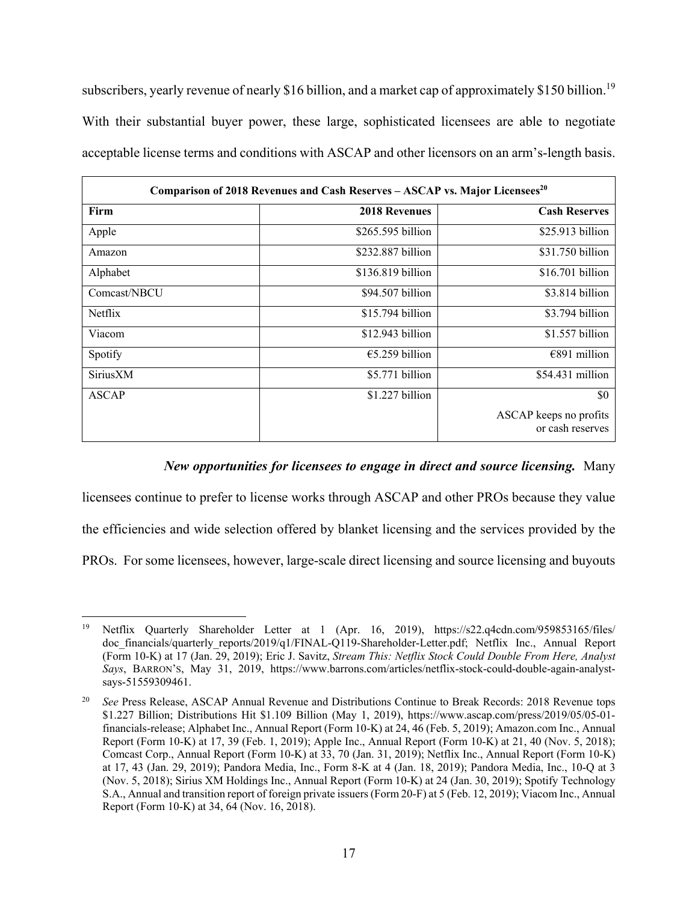subscribers, yearly revenue of nearly \$16 billion, and a market cap of approximately \$150 billion.<sup>19</sup> With their substantial buyer power, these large, sophisticated licensees are able to negotiate acceptable license terms and conditions with ASCAP and other licensors on an arm's-length basis.

| Comparison of 2018 Revenues and Cash Reserves - ASCAP vs. Major Licensees <sup>20</sup> |                      |                                            |  |  |
|-----------------------------------------------------------------------------------------|----------------------|--------------------------------------------|--|--|
| Firm                                                                                    | <b>2018 Revenues</b> | <b>Cash Reserves</b>                       |  |  |
| Apple                                                                                   | $$265.595$ billion   | $$25.913$ billion                          |  |  |
| Amazon                                                                                  | \$232.887 billion    | \$31.750 billion                           |  |  |
| Alphabet                                                                                | $$136.819$ billion   | \$16.701 billion                           |  |  |
| Comcast/NBCU                                                                            | \$94.507 billion     | $$3.814$ billion                           |  |  |
| Netflix                                                                                 | \$15.794 billion     | \$3.794 billion                            |  |  |
| Viacom                                                                                  | \$12.943 billion     | $$1.557$ billion                           |  |  |
| Spotify                                                                                 | $€5.259$ billion     | $€891$ million                             |  |  |
| SiriusXM                                                                                | \$5.771 billion      | \$54.431 million                           |  |  |
| ASCAP                                                                                   | $$1.227$ billion     | \$0                                        |  |  |
|                                                                                         |                      | ASCAP keeps no profits<br>or cash reserves |  |  |

# *New opportunities for licensees to engage in direct and source licensing.* Many

licensees continue to prefer to license works through ASCAP and other PROs because they value

the efficiencies and wide selection offered by blanket licensing and the services provided by the

PROs. For some licensees, however, large-scale direct licensing and source licensing and buyouts

 $\overline{a}$ 19 Netflix Quarterly Shareholder Letter at 1 (Apr. 16, 2019), https://s22.q4cdn.com/959853165/files/ doc financials/quarterly reports/2019/q1/FINAL-Q119-Shareholder-Letter.pdf; Netflix Inc., Annual Report (Form 10-K) at 17 (Jan. 29, 2019); Eric J. Savitz, *Stream This: Netflix Stock Could Double From Here, Analyst Says*, BARRON'S, May 31, 2019, https://www.barrons.com/articles/netflix-stock-could-double-again-analystsays-51559309461.

<sup>20</sup> *See* Press Release, ASCAP Annual Revenue and Distributions Continue to Break Records: 2018 Revenue tops \$1.227 Billion; Distributions Hit \$1.109 Billion (May 1, 2019), https://www.ascap.com/press/2019/05/05-01 financials-release; Alphabet Inc., Annual Report (Form 10-K) at 24, 46 (Feb. 5, 2019); Amazon.com Inc., Annual Report (Form 10-K) at 17, 39 (Feb. 1, 2019); Apple Inc., Annual Report (Form 10-K) at 21, 40 (Nov. 5, 2018); Comcast Corp., Annual Report (Form 10-K) at 33, 70 (Jan. 31, 2019); Netflix Inc., Annual Report (Form 10-K) at 17, 43 (Jan. 29, 2019); Pandora Media, Inc., Form 8-K at 4 (Jan. 18, 2019); Pandora Media, Inc., 10-Q at 3 (Nov. 5, 2018); Sirius XM Holdings Inc., Annual Report (Form 10-K) at 24 (Jan. 30, 2019); Spotify Technology S.A., Annual and transition report of foreign private issuers (Form 20-F) at 5 (Feb. 12, 2019); Viacom Inc., Annual Report (Form 10-K) at 34, 64 (Nov. 16, 2018).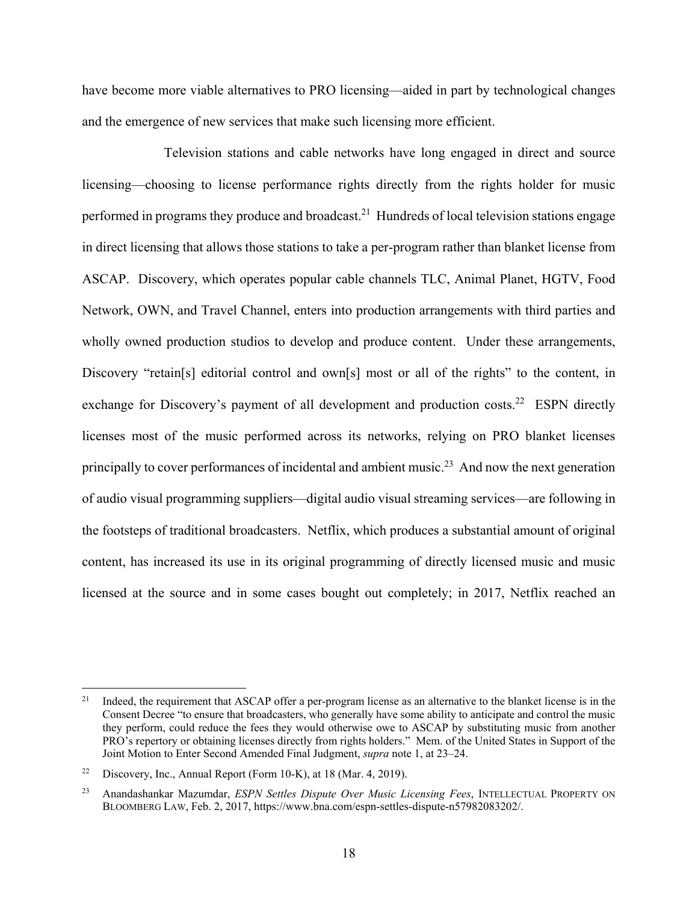have become more viable alternatives to PRO licensing—aided in part by technological changes and the emergence of new services that make such licensing more efficient.

Television stations and cable networks have long engaged in direct and source licensing—choosing to license performance rights directly from the rights holder for music performed in programs they produce and broadcast.<sup>21</sup> Hundreds of local television stations engage in direct licensing that allows those stations to take a per-program rather than blanket license from ASCAP. Discovery, which operates popular cable channels TLC, Animal Planet, HGTV, Food Network, OWN, and Travel Channel, enters into production arrangements with third parties and wholly owned production studios to develop and produce content. Under these arrangements, Discovery "retain[s] editorial control and own[s] most or all of the rights" to the content, in exchange for Discovery's payment of all development and production costs.<sup>22</sup> ESPN directly licenses most of the music performed across its networks, relying on PRO blanket licenses principally to cover performances of incidental and ambient music.<sup>23</sup> And now the next generation of audio visual programming suppliers—digital audio visual streaming services—are following in the footsteps of traditional broadcasters. Netflix, which produces a substantial amount of original content, has increased its use in its original programming of directly licensed music and music licensed at the source and in some cases bought out completely; in 2017, Netflix reached an

<sup>&</sup>lt;sup>21</sup> Indeed, the requirement that ASCAP offer a per-program license as an alternative to the blanket license is in the Consent Decree "to ensure that broadcasters, who generally have some ability to anticipate and control the music they perform, could reduce the fees they would otherwise owe to ASCAP by substituting music from another PRO's repertory or obtaining licenses directly from rights holders." Mem. of the United States in Support of the Joint Motion to Enter Second Amended Final Judgment, *supra* note 1, at 23–24.

<sup>&</sup>lt;sup>22</sup> Discovery, Inc., Annual Report (Form 10-K), at 18 (Mar. 4, 2019).

<sup>23</sup> Anandashankar Mazumdar, *ESPN Settles Dispute Over Music Licensing Fees*, INTELLECTUAL PROPERTY ON BLOOMBERG LAW, Feb. 2, 2017, https://www.bna.com/espn-settles-dispute-n57982083202/.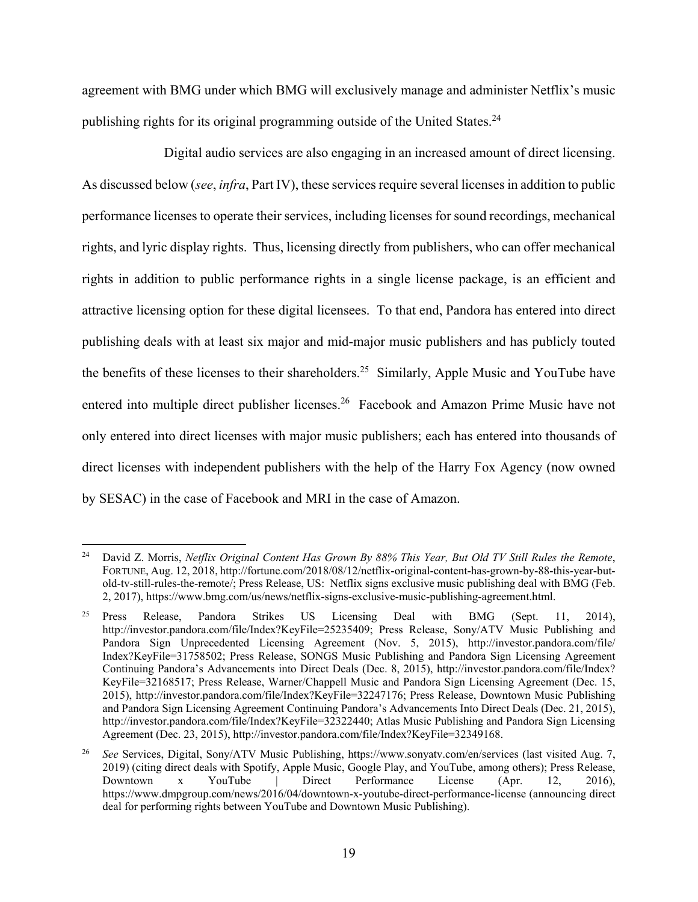agreement with BMG under which BMG will exclusively manage and administer Netflix's music publishing rights for its original programming outside of the United States.<sup>24</sup>

Digital audio services are also engaging in an increased amount of direct licensing. As discussed below (*see*, *infra*, Part IV), these services require several licenses in addition to public performance licenses to operate their services, including licenses for sound recordings, mechanical rights, and lyric display rights. Thus, licensing directly from publishers, who can offer mechanical rights in addition to public performance rights in a single license package, is an efficient and attractive licensing option for these digital licensees. To that end, Pandora has entered into direct publishing deals with at least six major and mid-major music publishers and has publicly touted the benefits of these licenses to their shareholders.<sup>25</sup> Similarly, Apple Music and YouTube have entered into multiple direct publisher licenses.<sup>26</sup> Facebook and Amazon Prime Music have not only entered into direct licenses with major music publishers; each has entered into thousands of direct licenses with independent publishers with the help of the Harry Fox Agency (now owned by SESAC) in the case of Facebook and MRI in the case of Amazon.

 $\overline{a}$ 24 David Z. Morris, *Netflix Original Content Has Grown By 88% This Year, But Old TV Still Rules the Remote*, FORTUNE, Aug. 12, 2018, http://fortune.com/2018/08/12/netflix-original-content-has-grown-by-88-this-year-butold-tv-still-rules-the-remote/; Press Release, US: Netflix signs exclusive music publishing deal with BMG (Feb. 2, 2017), https://www.bmg.com/us/news/netflix-signs-exclusive-music-publishing-agreement.html.

<sup>25</sup> Press Release, Pandora Strikes US Licensing Deal with BMG (Sept. 11, 2014), http://investor.pandora.com/file/Index?KeyFile=25235409; Press Release, Sony/ATV Music Publishing and Pandora Sign Unprecedented Licensing Agreement (Nov. 5, 2015), http://investor.pandora.com/file/ Index?KeyFile=31758502; Press Release, SONGS Music Publishing and Pandora Sign Licensing Agreement Continuing Pandora's Advancements into Direct Deals (Dec. 8, 2015), http://investor.pandora.com/file/Index? KeyFile=32168517; Press Release, Warner/Chappell Music and Pandora Sign Licensing Agreement (Dec. 15, 2015), http://investor.pandora.com/file/Index?KeyFile=32247176; Press Release, Downtown Music Publishing and Pandora Sign Licensing Agreement Continuing Pandora's Advancements Into Direct Deals (Dec. 21, 2015), http://investor.pandora.com/file/Index?KeyFile=32322440; Atlas Music Publishing and Pandora Sign Licensing Agreement (Dec. 23, 2015), http://investor.pandora.com/file/Index?KeyFile=32349168.

<sup>26</sup> *See* Services, Digital, Sony/ATV Music Publishing, https://www.sonyatv.com/en/services (last visited Aug. 7, 2019) (citing direct deals with Spotify, Apple Music, Google Play, and YouTube, among others); Press Release, Downtown x YouTube | Direct Performance License (Apr. 12, 2016), https://www.dmpgroup.com/news/2016/04/downtown-x-youtube-direct-performance-license (announcing direct deal for performing rights between YouTube and Downtown Music Publishing).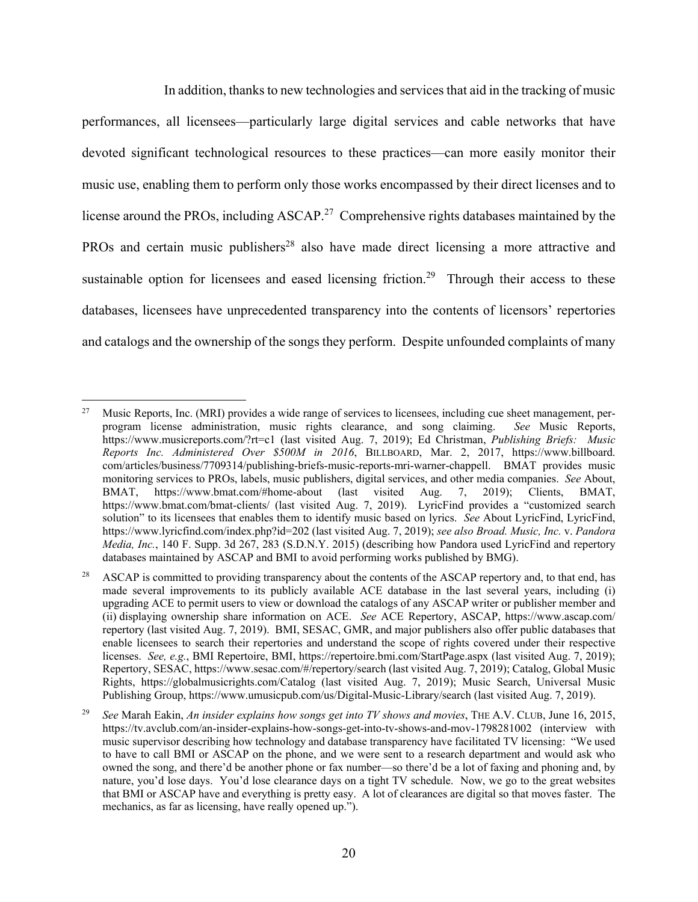In addition, thanks to new technologies and services that aid in the tracking of music performances, all licensees—particularly large digital services and cable networks that have devoted significant technological resources to these practices—can more easily monitor their music use, enabling them to perform only those works encompassed by their direct licenses and to license around the PROs, including ASCAP.<sup>27</sup> Comprehensive rights databases maintained by the PROs and certain music publishers<sup>28</sup> also have made direct licensing a more attractive and sustainable option for licensees and eased licensing friction.<sup>29</sup> Through their access to these databases, licensees have unprecedented transparency into the contents of licensors' repertories and catalogs and the ownership of the songs they perform. Despite unfounded complaints of many

 $\overline{a}$ <sup>27</sup> Music Reports, Inc. (MRI) provides a wide range of services to licensees, including cue sheet management, perprogram license administration, music rights clearance, and song claiming. *See* Music Reports, https://www.musicreports.com/?rt=c1 (last visited Aug. 7, 2019); Ed Christman, *Publishing Briefs: Music Reports Inc. Administered Over \$500M in 2016*, BILLBOARD, Mar. 2, 2017, https://www.billboard. com/articles/business/7709314/publishing-briefs-music-reports-mri-warner-chappell. BMAT provides music monitoring services to PROs, labels, music publishers, digital services, and other media companies. *See* About, BMAT, https://www.bmat.com/#home-about (last visited Aug. 7, 2019); Clients, BMAT, https://www.bmat.com/bmat-clients/ (last visited Aug. 7, 2019). LyricFind provides a "customized search" solution" to its licensees that enables them to identify music based on lyrics. *See* About LyricFind, LyricFind, https://www.lyricfind.com/index.php?id=202 (last visited Aug. 7, 2019); *see also Broad. Music, Inc.* v. *Pandora Media, Inc.*, 140 F. Supp. 3d 267, 283 (S.D.N.Y. 2015) (describing how Pandora used LyricFind and repertory databases maintained by ASCAP and BMI to avoid performing works published by BMG).

<sup>&</sup>lt;sup>28</sup> ASCAP is committed to providing transparency about the contents of the ASCAP repertory and, to that end, has made several improvements to its publicly available ACE database in the last several years, including (i) upgrading ACE to permit users to view or download the catalogs of any ASCAP writer or publisher member and (ii) displaying ownership share information on ACE. *See* ACE Repertory, ASCAP, https://www.ascap.com/ repertory (last visited Aug. 7, 2019). BMI, SESAC, GMR, and major publishers also offer public databases that enable licensees to search their repertories and understand the scope of rights covered under their respective licenses. *See, e.g.*, BMI Repertoire, BMI, https://repertoire.bmi.com/StartPage.aspx (last visited Aug. 7, 2019); Repertory, SESAC, https://www.sesac.com/#/repertory/search (last visited Aug. 7, 2019); Catalog, Global Music Rights, https://globalmusicrights.com/Catalog (last visited Aug. 7, 2019); Music Search, Universal Music Publishing Group, https://www.umusicpub.com/us/Digital-Music-Library/search (last visited Aug. 7, 2019).

<sup>29</sup> *See* Marah Eakin, *An insider explains how songs get into TV shows and movies*, THE A.V. CLUB, June 16, 2015, https://tv.avclub.com/an-insider-explains-how-songs-get-into-tv-shows-and-mov-1798281002 (interview with music supervisor describing how technology and database transparency have facilitated TV licensing: "We used to have to call BMI or ASCAP on the phone, and we were sent to a research department and would ask who owned the song, and there'd be another phone or fax number—so there'd be a lot of faxing and phoning and, by nature, you'd lose days. You'd lose clearance days on a tight TV schedule. Now, we go to the great websites that BMI or ASCAP have and everything is pretty easy. A lot of clearances are digital so that moves faster. The mechanics, as far as licensing, have really opened up.").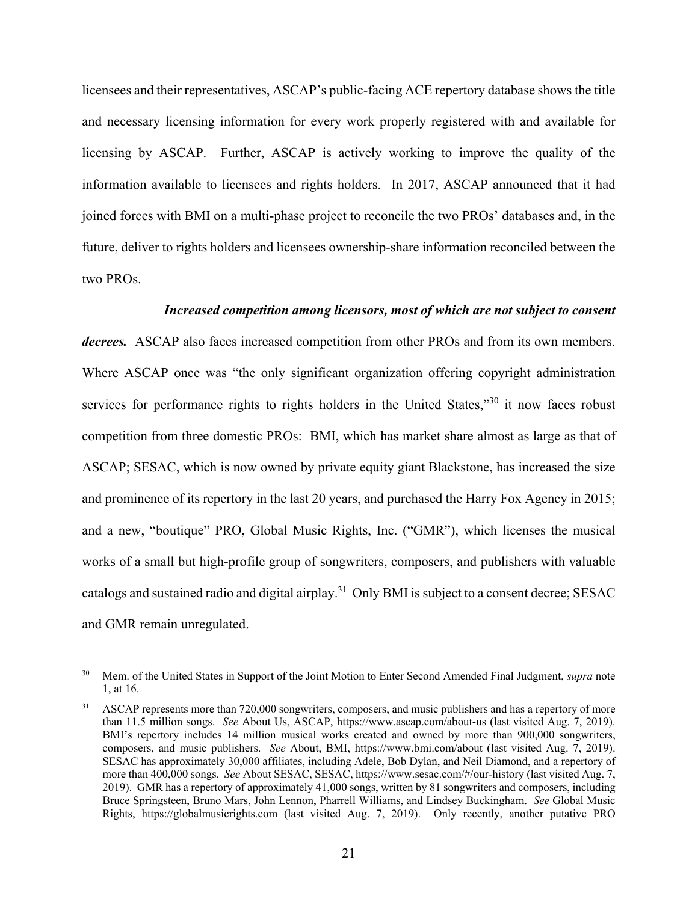licensees and their representatives, ASCAP's public-facing ACE repertory database shows the title and necessary licensing information for every work properly registered with and available for licensing by ASCAP. Further, ASCAP is actively working to improve the quality of the information available to licensees and rights holders. In 2017, ASCAP announced that it had joined forces with BMI on a multi-phase project to reconcile the two PROs' databases and, in the future, deliver to rights holders and licensees ownership-share information reconciled between the two PROs.

#### *Increased competition among licensors, most of which are not subject to consent*

*decrees.*ASCAP also faces increased competition from other PROs and from its own members. Where ASCAP once was "the only significant organization offering copyright administration services for performance rights to rights holders in the United States,"<sup>30</sup> it now faces robust competition from three domestic PROs: BMI, which has market share almost as large as that of ASCAP; SESAC, which is now owned by private equity giant Blackstone, has increased the size and prominence of its repertory in the last 20 years, and purchased the Harry Fox Agency in 2015; and a new, "boutique" PRO, Global Music Rights, Inc. ("GMR"), which licenses the musical works of a small but high-profile group of songwriters, composers, and publishers with valuable catalogs and sustained radio and digital airplay.31 Only BMI is subject to a consent decree; SESAC and GMR remain unregulated.

<sup>30</sup> Mem. of the United States in Support of the Joint Motion to Enter Second Amended Final Judgment, *supra* note 1, at 16.

<sup>&</sup>lt;sup>31</sup> ASCAP represents more than 720,000 songwriters, composers, and music publishers and has a repertory of more than 11.5 million songs. *See* About Us, ASCAP, https://www.ascap.com/about-us (last visited Aug. 7, 2019). BMI's repertory includes 14 million musical works created and owned by more than 900,000 songwriters, composers, and music publishers. *See* About, BMI, https://www.bmi.com/about (last visited Aug. 7, 2019). SESAC has approximately 30,000 affiliates, including Adele, Bob Dylan, and Neil Diamond, and a repertory of more than 400,000 songs. *See* About SESAC, SESAC, https://www.sesac.com/#/our-history (last visited Aug. 7, 2019). GMR has a repertory of approximately 41,000 songs, written by 81 songwriters and composers, including Bruce Springsteen, Bruno Mars, John Lennon, Pharrell Williams, and Lindsey Buckingham. *See* Global Music Rights, https://globalmusicrights.com (last visited Aug. 7, 2019). Only recently, another putative PRO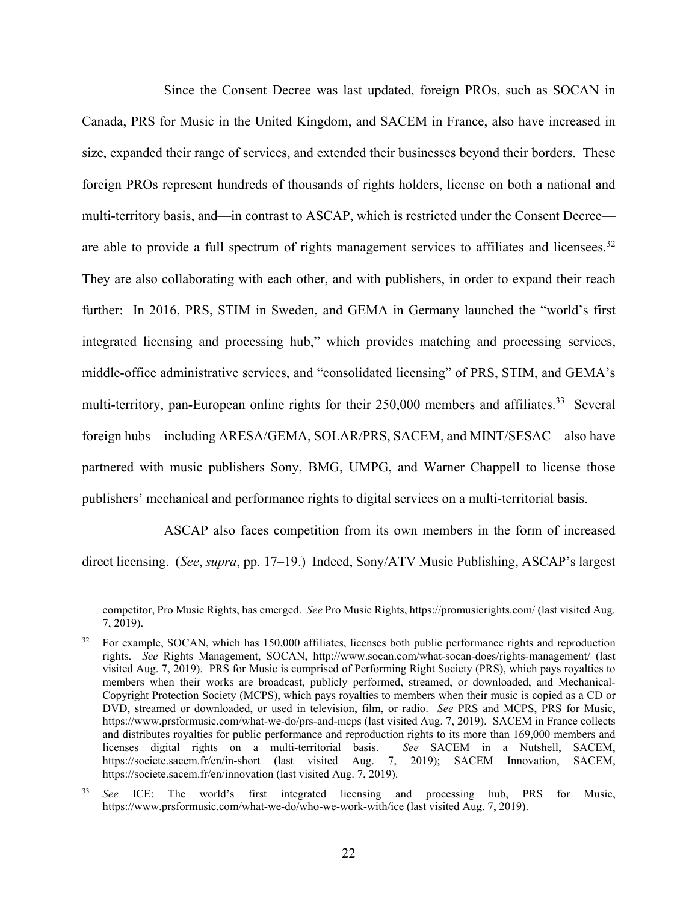Since the Consent Decree was last updated, foreign PROs, such as SOCAN in Canada, PRS for Music in the United Kingdom, and SACEM in France, also have increased in size, expanded their range of services, and extended their businesses beyond their borders. These foreign PROs represent hundreds of thousands of rights holders, license on both a national and multi-territory basis, and—in contrast to ASCAP, which is restricted under the Consent Decree are able to provide a full spectrum of rights management services to affiliates and licensees.<sup>32</sup> They are also collaborating with each other, and with publishers, in order to expand their reach further: In 2016, PRS, STIM in Sweden, and GEMA in Germany launched the "world's first integrated licensing and processing hub," which provides matching and processing services, middle-office administrative services, and "consolidated licensing" of PRS, STIM, and GEMA's multi-territory, pan-European online rights for their 250,000 members and affiliates.<sup>33</sup> Several foreign hubs—including ARESA/GEMA, SOLAR/PRS, SACEM, and MINT/SESAC—also have partnered with music publishers Sony, BMG, UMPG, and Warner Chappell to license those publishers' mechanical and performance rights to digital services on a multi-territorial basis.

ASCAP also faces competition from its own members in the form of increased direct licensing. (*See*, *supra*, pp. 17–19.) Indeed, Sony/ATV Music Publishing, ASCAP's largest

competitor, Pro Music Rights, has emerged. *See* Pro Music Rights, https://promusicrights.com/ (last visited Aug. 7, 2019).

<sup>32</sup> For example, SOCAN, which has 150,000 affiliates, licenses both public performance rights and reproduction rights. *See* Rights Management, SOCAN, http://www.socan.com/what-socan-does/rights-management/ (last visited Aug. 7, 2019). PRS for Music is comprised of Performing Right Society (PRS), which pays royalties to members when their works are broadcast, publicly performed, streamed, or downloaded, and Mechanical-Copyright Protection Society (MCPS), which pays royalties to members when their music is copied as a CD or DVD, streamed or downloaded, or used in television, film, or radio. *See* PRS and MCPS, PRS for Music, https://www.prsformusic.com/what-we-do/prs-and-mcps (last visited Aug. 7, 2019). SACEM in France collects and distributes royalties for public performance and reproduction rights to its more than 169,000 members and licenses digital rights on a multi-territorial basis. *See* SACEM in a Nutshell, SACEM, https://societe.sacem.fr/en/in-short (last visited Aug. 7, 2019); SACEM Innovation, SACEM, https://societe.sacem.fr/en/innovation (last visited Aug. 7, 2019).

<sup>33</sup> *See* ICE: The world's first integrated licensing and processing hub, PRS for Music, https://www.prsformusic.com/what-we-do/who-we-work-with/ice (last visited Aug. 7, 2019).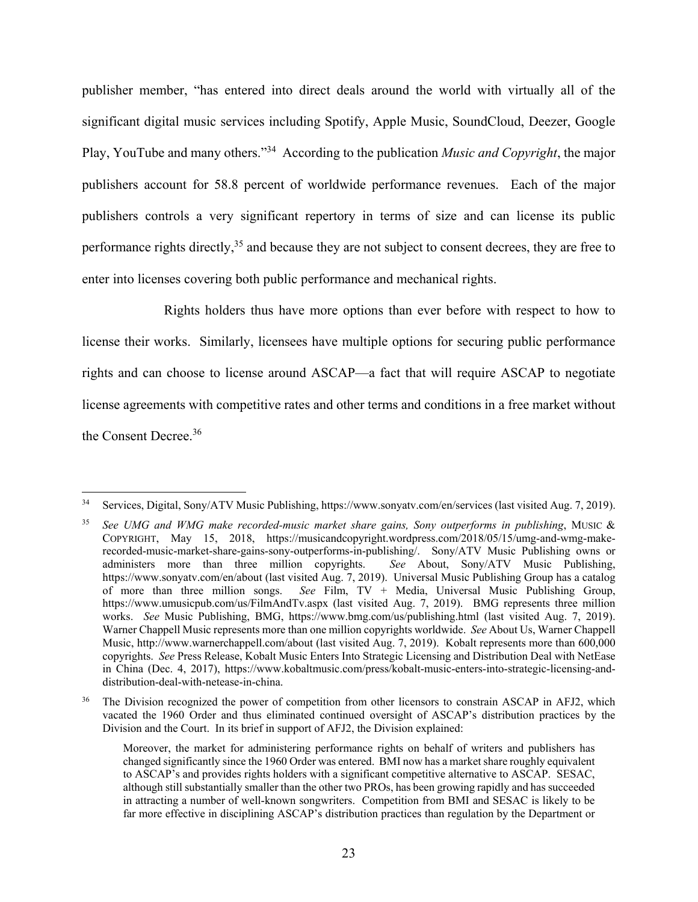publisher member, "has entered into direct deals around the world with virtually all of the significant digital music services including Spotify, Apple Music, SoundCloud, Deezer, Google Play, YouTube and many others."34 According to the publication *Music and Copyright*, the major publishers account for 58.8 percent of worldwide performance revenues. Each of the major publishers controls a very significant repertory in terms of size and can license its public performance rights directly,<sup>35</sup> and because they are not subject to consent decrees, they are free to enter into licenses covering both public performance and mechanical rights.

Rights holders thus have more options than ever before with respect to how to license their works. Similarly, licensees have multiple options for securing public performance rights and can choose to license around ASCAP—a fact that will require ASCAP to negotiate license agreements with competitive rates and other terms and conditions in a free market without the Consent Decree.<sup>36</sup>

<sup>34</sup> Services, Digital, Sony/ATV Music Publishing, https://www.sonyatv.com/en/services (last visited Aug. 7, 2019).

<sup>35</sup> *See UMG and WMG make recorded-music market share gains, Sony outperforms in publishing*, MUSIC & COPYRIGHT, May 15, 2018, https://musicandcopyright.wordpress.com/2018/05/15/umg-and-wmg-makerecorded-music-market-share-gains-sony-outperforms-in-publishing/. Sony/ATV Music Publishing owns or administers more than three million copyrights. See About, Sony/ATV Music Publishing, administers more than three million copyrights. https://www.sonyatv.com/en/about (last visited Aug. 7, 2019). Universal Music Publishing Group has a catalog of more than three million songs. *See* Film, TV + Media, Universal Music Publishing Group, https://www.umusicpub.com/us/FilmAndTv.aspx (last visited Aug. 7, 2019). BMG represents three million works. *See* Music Publishing, BMG, https://www.bmg.com/us/publishing.html (last visited Aug. 7, 2019). Warner Chappell Music represents more than one million copyrights worldwide. *See* About Us, Warner Chappell Music, http://www.warnerchappell.com/about (last visited Aug. 7, 2019). Kobalt represents more than 600,000 copyrights. *See* Press Release, Kobalt Music Enters Into Strategic Licensing and Distribution Deal with NetEase in China (Dec. 4, 2017), https://www.kobaltmusic.com/press/kobalt-music-enters-into-strategic-licensing-anddistribution-deal-with-netease-in-china.

The Division recognized the power of competition from other licensors to constrain ASCAP in AFJ2, which vacated the 1960 Order and thus eliminated continued oversight of ASCAP's distribution practices by the Division and the Court. In its brief in support of AFJ2, the Division explained:

Moreover, the market for administering performance rights on behalf of writers and publishers has changed significantly since the 1960 Order was entered. BMI now has a market share roughly equivalent to ASCAP's and provides rights holders with a significant competitive alternative to ASCAP. SESAC, although still substantially smaller than the other two PROs, has been growing rapidly and has succeeded in attracting a number of well-known songwriters. Competition from BMI and SESAC is likely to be far more effective in disciplining ASCAP's distribution practices than regulation by the Department or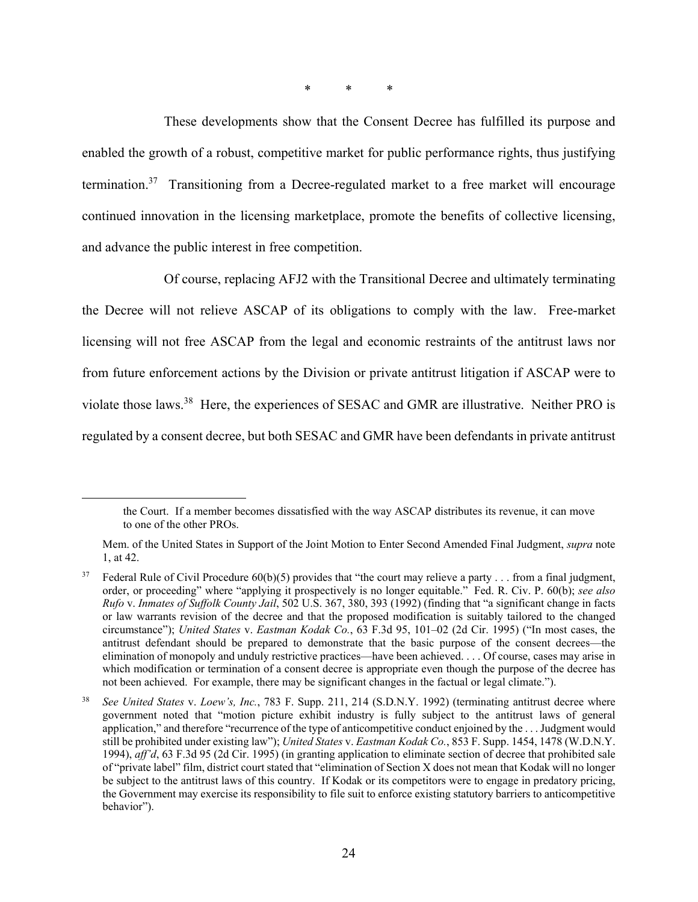\* \* \*

These developments show that the Consent Decree has fulfilled its purpose and enabled the growth of a robust, competitive market for public performance rights, thus justifying termination.37 Transitioning from a Decree-regulated market to a free market will encourage continued innovation in the licensing marketplace, promote the benefits of collective licensing, and advance the public interest in free competition.

Of course, replacing AFJ2 with the Transitional Decree and ultimately terminating the Decree will not relieve ASCAP of its obligations to comply with the law. Free-market licensing will not free ASCAP from the legal and economic restraints of the antitrust laws nor from future enforcement actions by the Division or private antitrust litigation if ASCAP were to violate those laws.38 Here, the experiences of SESAC and GMR are illustrative. Neither PRO is regulated by a consent decree, but both SESAC and GMR have been defendants in private antitrust

the Court. If a member becomes dissatisfied with the way ASCAP distributes its revenue, it can move to one of the other PROs.

Mem. of the United States in Support of the Joint Motion to Enter Second Amended Final Judgment, *supra* note 1, at 42.

<sup>&</sup>lt;sup>37</sup> Federal Rule of Civil Procedure  $60(b)(5)$  provides that "the court may relieve a party . . . from a final judgment, order, or proceeding" where "applying it prospectively is no longer equitable." Fed. R. Civ. P. 60(b); *see also Rufo* v. *Inmates of Suffolk County Jail*, 502 U.S. 367, 380, 393 (1992) (finding that "a significant change in facts or law warrants revision of the decree and that the proposed modification is suitably tailored to the changed circumstance"); *United States* v. *Eastman Kodak Co.*, 63 F.3d 95, 101–02 (2d Cir. 1995) ("In most cases, the antitrust defendant should be prepared to demonstrate that the basic purpose of the consent decrees—the elimination of monopoly and unduly restrictive practices—have been achieved. . . . Of course, cases may arise in which modification or termination of a consent decree is appropriate even though the purpose of the decree has not been achieved. For example, there may be significant changes in the factual or legal climate.").

<sup>38</sup> *See United States* v. *Loew's, Inc.*, 783 F. Supp. 211, 214 (S.D.N.Y. 1992) (terminating antitrust decree where government noted that "motion picture exhibit industry is fully subject to the antitrust laws of general application," and therefore "recurrence of the type of anticompetitive conduct enjoined by the . . . Judgment would still be prohibited under existing law"); *United States* v. *Eastman Kodak Co.*, 853 F. Supp. 1454, 1478 (W.D.N.Y. 1994), *aff'd*, 63 F.3d 95 (2d Cir. 1995) (in granting application to eliminate section of decree that prohibited sale of "private label" film, district court stated that "elimination of Section X does not mean that Kodak will no longer be subject to the antitrust laws of this country. If Kodak or its competitors were to engage in predatory pricing, the Government may exercise its responsibility to file suit to enforce existing statutory barriers to anticompetitive behavior").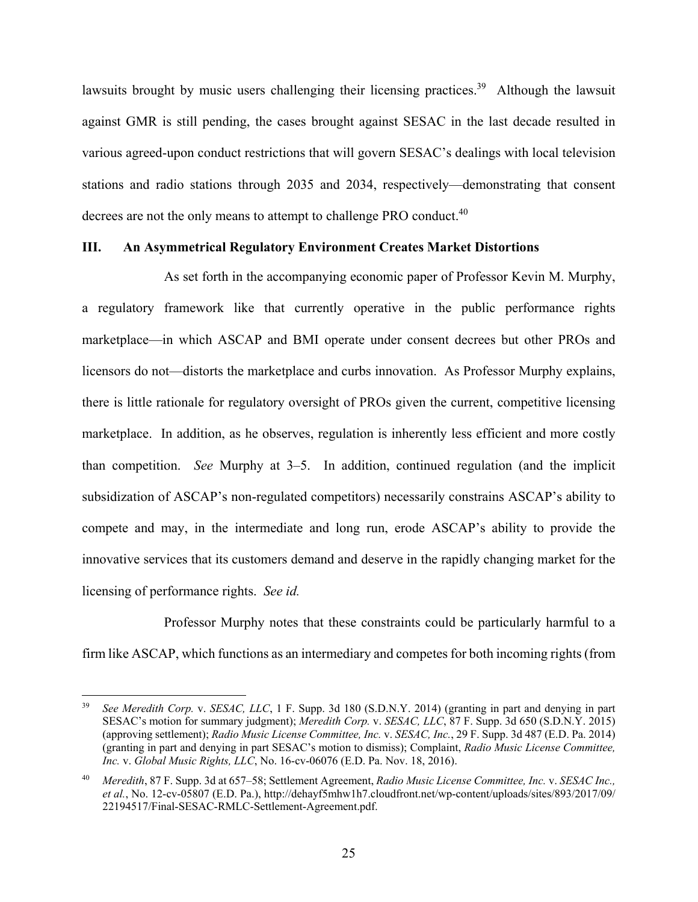lawsuits brought by music users challenging their licensing practices.<sup>39</sup> Although the lawsuit against GMR is still pending, the cases brought against SESAC in the last decade resulted in various agreed-upon conduct restrictions that will govern SESAC's dealings with local television stations and radio stations through 2035 and 2034, respectively—demonstrating that consent decrees are not the only means to attempt to challenge PRO conduct.<sup>40</sup>

#### **III. An Asymmetrical Regulatory Environment Creates Market Distortions**

As set forth in the accompanying economic paper of Professor Kevin M. Murphy, a regulatory framework like that currently operative in the public performance rights marketplace—in which ASCAP and BMI operate under consent decrees but other PROs and licensors do not—distorts the marketplace and curbs innovation. As Professor Murphy explains, there is little rationale for regulatory oversight of PROs given the current, competitive licensing marketplace. In addition, as he observes, regulation is inherently less efficient and more costly than competition. *See* Murphy at 3–5. In addition, continued regulation (and the implicit subsidization of ASCAP's non-regulated competitors) necessarily constrains ASCAP's ability to compete and may, in the intermediate and long run, erode ASCAP's ability to provide the innovative services that its customers demand and deserve in the rapidly changing market for the licensing of performance rights. *See id.*

Professor Murphy notes that these constraints could be particularly harmful to a firm like ASCAP, which functions as an intermediary and competes for both incoming rights (from

1

<sup>39</sup> *See Meredith Corp.* v. *SESAC, LLC*, 1 F. Supp. 3d 180 (S.D.N.Y. 2014) (granting in part and denying in part SESAC's motion for summary judgment); *Meredith Corp.* v. *SESAC, LLC*, 87 F. Supp. 3d 650 (S.D.N.Y. 2015) (approving settlement); *Radio Music License Committee, Inc.* v. *SESAC, Inc.*, 29 F. Supp. 3d 487 (E.D. Pa. 2014) (granting in part and denying in part SESAC's motion to dismiss); Complaint, *Radio Music License Committee, Inc.* v. *Global Music Rights, LLC*, No. 16-cv-06076 (E.D. Pa. Nov. 18, 2016).

<sup>40</sup> *Meredith*, 87 F. Supp. 3d at 657–58; Settlement Agreement, *Radio Music License Committee, Inc.* v. *SESAC Inc., et al.*, No. 12-cv-05807 (E.D. Pa.), http://dehayf5mhw1h7.cloudfront.net/wp-content/uploads/sites/893/2017/09/ 22194517/Final-SESAC-RMLC-Settlement-Agreement.pdf.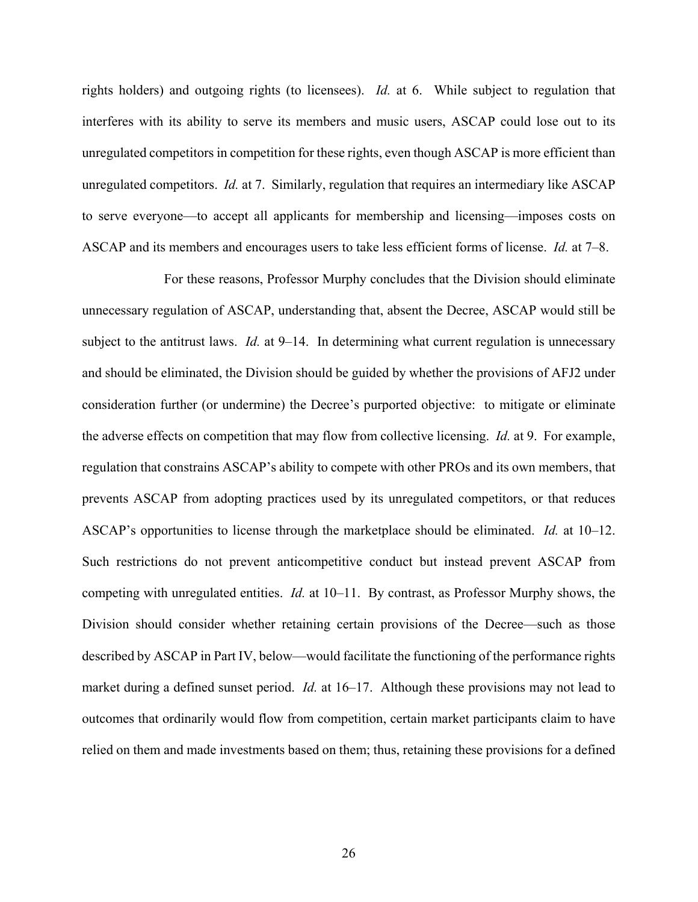rights holders) and outgoing rights (to licensees). *Id.* at 6. While subject to regulation that interferes with its ability to serve its members and music users, ASCAP could lose out to its unregulated competitors in competition for these rights, even though ASCAP is more efficient than unregulated competitors. *Id.* at 7. Similarly, regulation that requires an intermediary like ASCAP to serve everyone—to accept all applicants for membership and licensing—imposes costs on ASCAP and its members and encourages users to take less efficient forms of license. *Id.* at 7–8.

For these reasons, Professor Murphy concludes that the Division should eliminate unnecessary regulation of ASCAP, understanding that, absent the Decree, ASCAP would still be subject to the antitrust laws. *Id.* at 9–14. In determining what current regulation is unnecessary and should be eliminated, the Division should be guided by whether the provisions of AFJ2 under consideration further (or undermine) the Decree's purported objective: to mitigate or eliminate the adverse effects on competition that may flow from collective licensing. *Id.* at 9. For example, regulation that constrains ASCAP's ability to compete with other PROs and its own members, that prevents ASCAP from adopting practices used by its unregulated competitors, or that reduces ASCAP's opportunities to license through the marketplace should be eliminated. *Id.* at 10–12. Such restrictions do not prevent anticompetitive conduct but instead prevent ASCAP from competing with unregulated entities. *Id.* at 10–11. By contrast, as Professor Murphy shows, the Division should consider whether retaining certain provisions of the Decree—such as those described by ASCAP in Part IV, below—would facilitate the functioning of the performance rights market during a defined sunset period. *Id.* at 16–17. Although these provisions may not lead to outcomes that ordinarily would flow from competition, certain market participants claim to have relied on them and made investments based on them; thus, retaining these provisions for a defined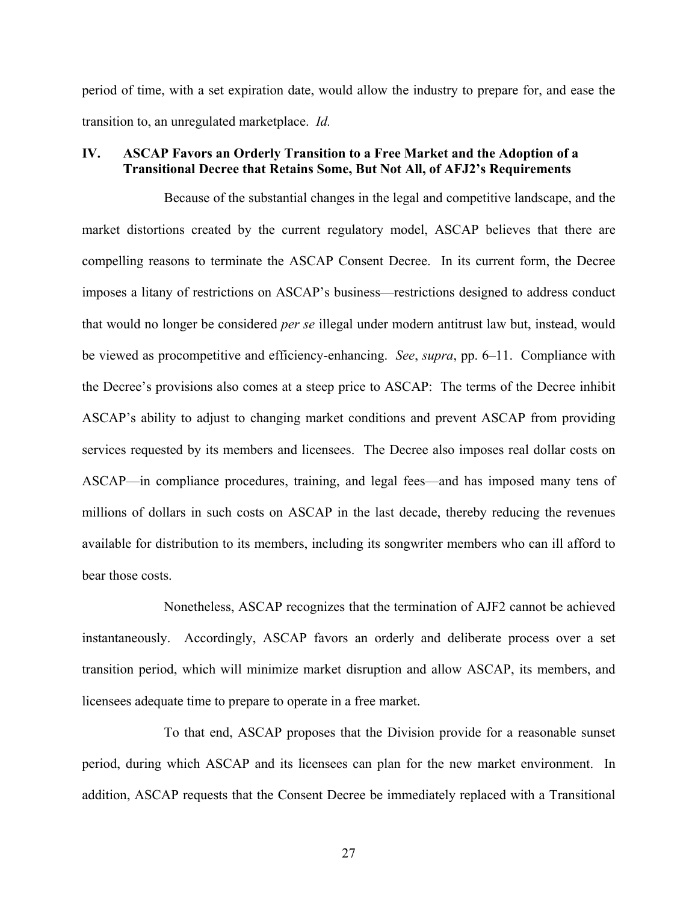period of time, with a set expiration date, would allow the industry to prepare for, and ease the transition to, an unregulated marketplace. *Id.*

### **IV. ASCAP Favors an Orderly Transition to a Free Market and the Adoption of a Transitional Decree that Retains Some, But Not All, of AFJ2's Requirements**

Because of the substantial changes in the legal and competitive landscape, and the market distortions created by the current regulatory model, ASCAP believes that there are compelling reasons to terminate the ASCAP Consent Decree. In its current form, the Decree imposes a litany of restrictions on ASCAP's business—restrictions designed to address conduct that would no longer be considered *per se* illegal under modern antitrust law but, instead, would be viewed as procompetitive and efficiency-enhancing. *See*, *supra*, pp. 6–11. Compliance with the Decree's provisions also comes at a steep price to ASCAP: The terms of the Decree inhibit ASCAP's ability to adjust to changing market conditions and prevent ASCAP from providing services requested by its members and licensees. The Decree also imposes real dollar costs on ASCAP—in compliance procedures, training, and legal fees—and has imposed many tens of millions of dollars in such costs on ASCAP in the last decade, thereby reducing the revenues available for distribution to its members, including its songwriter members who can ill afford to bear those costs.

Nonetheless, ASCAP recognizes that the termination of AJF2 cannot be achieved instantaneously. Accordingly, ASCAP favors an orderly and deliberate process over a set transition period, which will minimize market disruption and allow ASCAP, its members, and licensees adequate time to prepare to operate in a free market.

To that end, ASCAP proposes that the Division provide for a reasonable sunset period, during which ASCAP and its licensees can plan for the new market environment. In addition, ASCAP requests that the Consent Decree be immediately replaced with a Transitional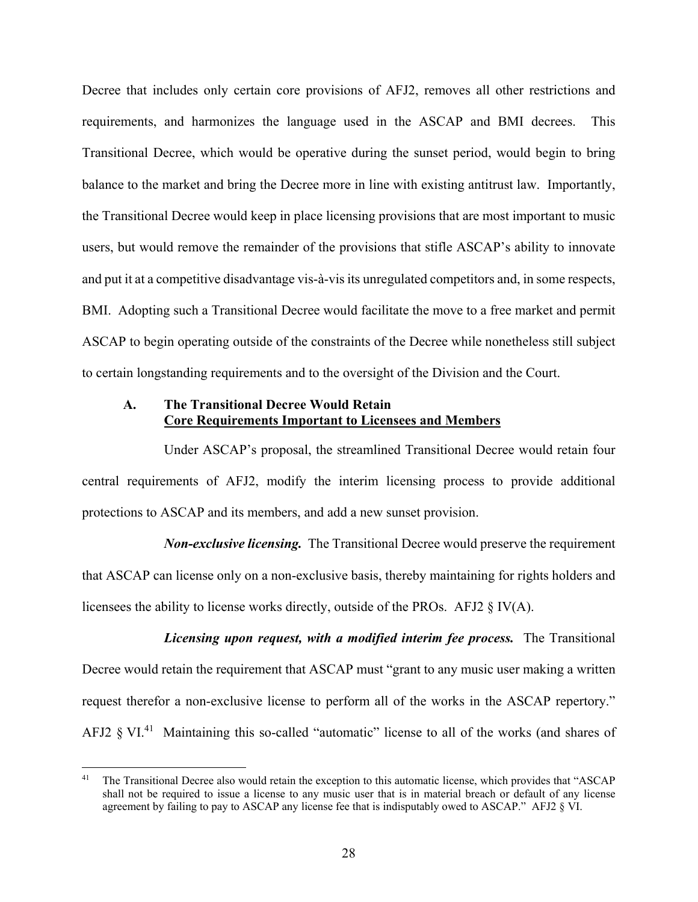Decree that includes only certain core provisions of AFJ2, removes all other restrictions and requirements, and harmonizes the language used in the ASCAP and BMI decrees. This Transitional Decree, which would be operative during the sunset period, would begin to bring balance to the market and bring the Decree more in line with existing antitrust law. Importantly, the Transitional Decree would keep in place licensing provisions that are most important to music users, but would remove the remainder of the provisions that stifle ASCAP's ability to innovate and put it at a competitive disadvantage vis-à-vis its unregulated competitors and, in some respects, BMI. Adopting such a Transitional Decree would facilitate the move to a free market and permit ASCAP to begin operating outside of the constraints of the Decree while nonetheless still subject to certain longstanding requirements and to the oversight of the Division and the Court.

### **A. The Transitional Decree Would Retain Core Requirements Important to Licensees and Members**

Under ASCAP's proposal, the streamlined Transitional Decree would retain four central requirements of AFJ2, modify the interim licensing process to provide additional protections to ASCAP and its members, and add a new sunset provision.

*Non-exclusive licensing.* The Transitional Decree would preserve the requirement that ASCAP can license only on a non-exclusive basis, thereby maintaining for rights holders and licensees the ability to license works directly, outside of the PROs. AFJ2 § IV(A).

*Licensing upon request, with a modified interim fee process.* The Transitional Decree would retain the requirement that ASCAP must "grant to any music user making a written request therefor a non-exclusive license to perform all of the works in the ASCAP repertory." AFJ2  $\S$  VI.<sup>41</sup> Maintaining this so-called "automatic" license to all of the works (and shares of

<sup>&</sup>lt;sup>41</sup> The Transitional Decree also would retain the exception to this automatic license, which provides that "ASCAP shall not be required to issue a license to any music user that is in material breach or default of any license agreement by failing to pay to ASCAP any license fee that is indisputably owed to ASCAP." AFJ2 § VI.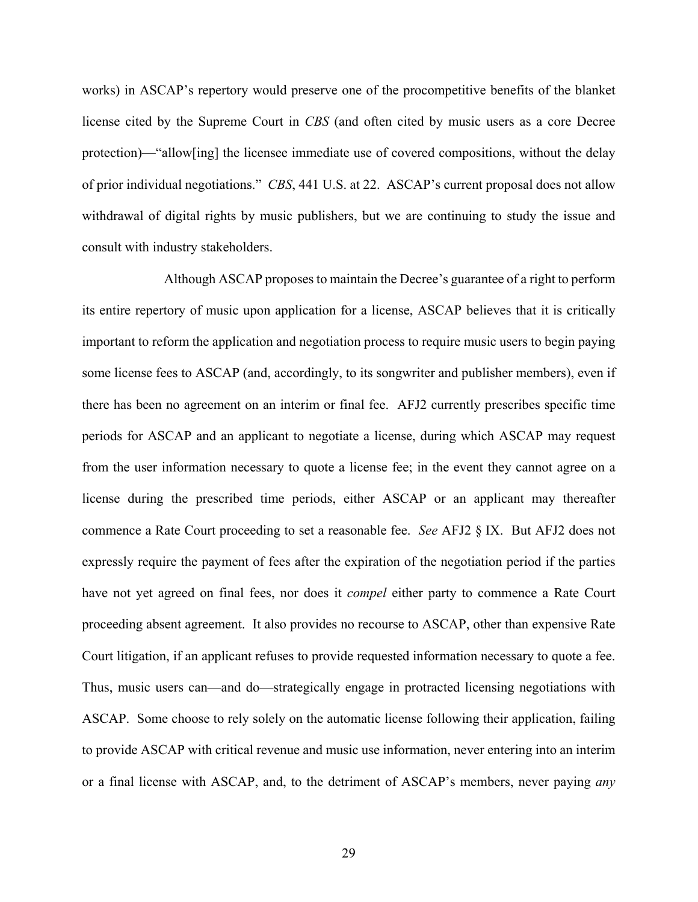works) in ASCAP's repertory would preserve one of the procompetitive benefits of the blanket license cited by the Supreme Court in *CBS* (and often cited by music users as a core Decree protection)—"allow[ing] the licensee immediate use of covered compositions, without the delay of prior individual negotiations." *CBS*, 441 U.S. at 22. ASCAP's current proposal does not allow withdrawal of digital rights by music publishers, but we are continuing to study the issue and consult with industry stakeholders.

Although ASCAP proposes to maintain the Decree's guarantee of a right to perform its entire repertory of music upon application for a license, ASCAP believes that it is critically important to reform the application and negotiation process to require music users to begin paying some license fees to ASCAP (and, accordingly, to its songwriter and publisher members), even if there has been no agreement on an interim or final fee. AFJ2 currently prescribes specific time periods for ASCAP and an applicant to negotiate a license, during which ASCAP may request from the user information necessary to quote a license fee; in the event they cannot agree on a license during the prescribed time periods, either ASCAP or an applicant may thereafter commence a Rate Court proceeding to set a reasonable fee. *See* AFJ2 § IX. But AFJ2 does not expressly require the payment of fees after the expiration of the negotiation period if the parties have not yet agreed on final fees, nor does it *compel* either party to commence a Rate Court proceeding absent agreement. It also provides no recourse to ASCAP, other than expensive Rate Court litigation, if an applicant refuses to provide requested information necessary to quote a fee. Thus, music users can—and do—strategically engage in protracted licensing negotiations with ASCAP. Some choose to rely solely on the automatic license following their application, failing to provide ASCAP with critical revenue and music use information, never entering into an interim or a final license with ASCAP, and, to the detriment of ASCAP's members, never paying *any*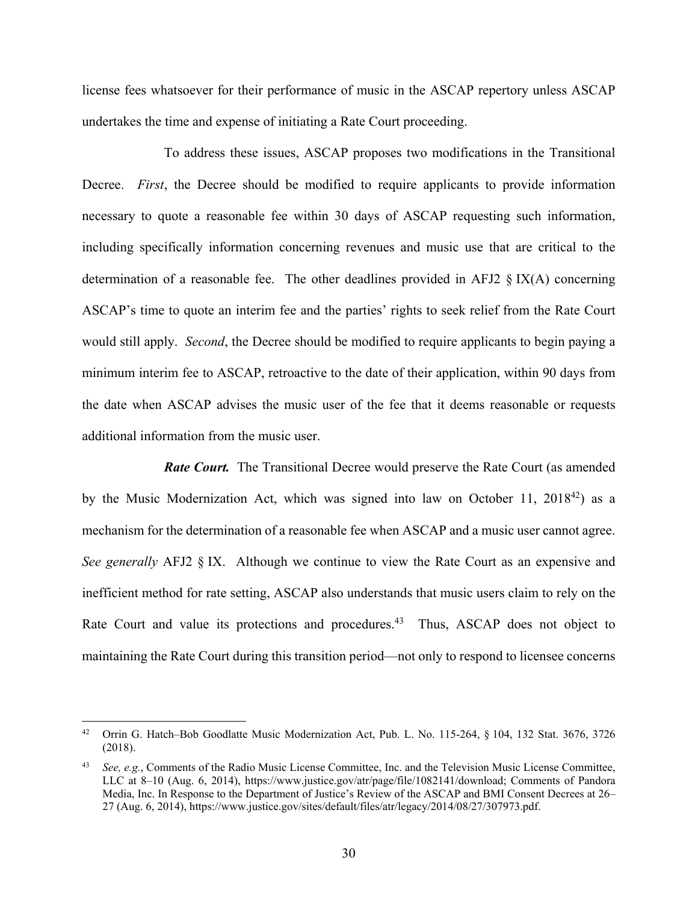license fees whatsoever for their performance of music in the ASCAP repertory unless ASCAP undertakes the time and expense of initiating a Rate Court proceeding.

To address these issues, ASCAP proposes two modifications in the Transitional Decree. *First*, the Decree should be modified to require applicants to provide information necessary to quote a reasonable fee within 30 days of ASCAP requesting such information, including specifically information concerning revenues and music use that are critical to the determination of a reasonable fee. The other deadlines provided in AFJ2  $\S$  IX(A) concerning ASCAP's time to quote an interim fee and the parties' rights to seek relief from the Rate Court would still apply. *Second*, the Decree should be modified to require applicants to begin paying a minimum interim fee to ASCAP, retroactive to the date of their application, within 90 days from the date when ASCAP advises the music user of the fee that it deems reasonable or requests additional information from the music user.

*Rate Court.* The Transitional Decree would preserve the Rate Court (as amended by the Music Modernization Act, which was signed into law on October 11,  $2018^{42}$ ) as a mechanism for the determination of a reasonable fee when ASCAP and a music user cannot agree. *See generally* AFJ2 § IX. Although we continue to view the Rate Court as an expensive and inefficient method for rate setting, ASCAP also understands that music users claim to rely on the Rate Court and value its protections and procedures.<sup>43</sup> Thus, ASCAP does not object to maintaining the Rate Court during this transition period—not only to respond to licensee concerns

<sup>&</sup>lt;sup>42</sup> Orrin G. Hatch–Bob Goodlatte Music Modernization Act, Pub. L. No. 115-264, § 104, 132 Stat. 3676, 3726 (2018).

<sup>43</sup> *See, e.g.*, Comments of the Radio Music License Committee, Inc. and the Television Music License Committee, LLC at 8–10 (Aug. 6, 2014), https://www.justice.gov/atr/page/file/1082141/download; Comments of Pandora Media, Inc. In Response to the Department of Justice's Review of the ASCAP and BMI Consent Decrees at 26– 27 (Aug. 6, 2014), https://www.justice.gov/sites/default/files/atr/legacy/2014/08/27/307973.pdf.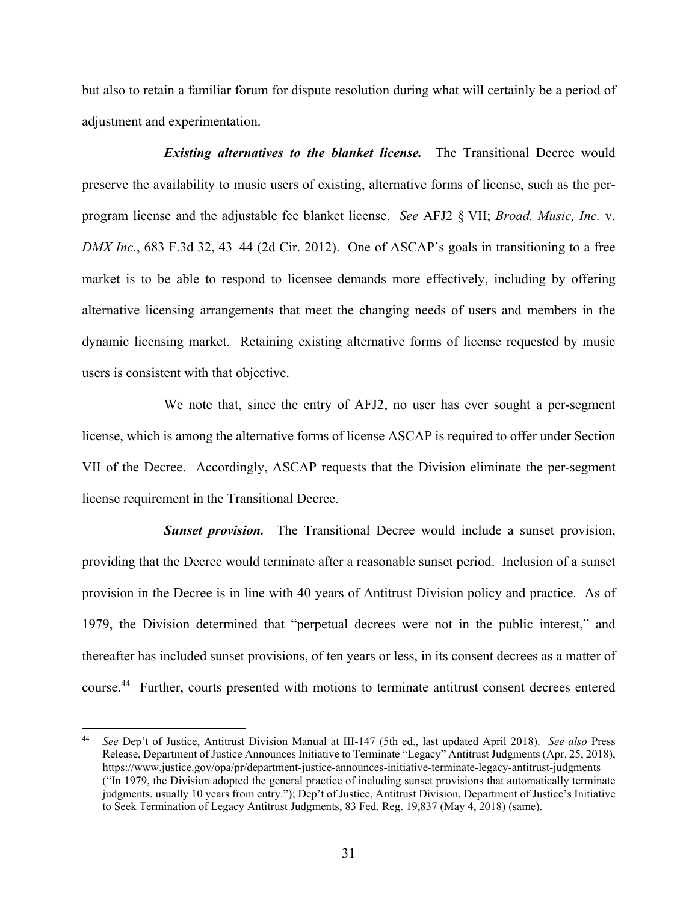but also to retain a familiar forum for dispute resolution during what will certainly be a period of adjustment and experimentation.

*Existing alternatives to the blanket license.* The Transitional Decree would preserve the availability to music users of existing, alternative forms of license, such as the perprogram license and the adjustable fee blanket license. *See* AFJ2 § VII; *Broad. Music, Inc.* v. *DMX Inc.*, 683 F.3d 32, 43–44 (2d Cir. 2012). One of ASCAP's goals in transitioning to a free market is to be able to respond to licensee demands more effectively, including by offering alternative licensing arrangements that meet the changing needs of users and members in the dynamic licensing market. Retaining existing alternative forms of license requested by music users is consistent with that objective.

We note that, since the entry of AFJ2, no user has ever sought a per-segment license, which is among the alternative forms of license ASCAP is required to offer under Section VII of the Decree. Accordingly, ASCAP requests that the Division eliminate the per-segment license requirement in the Transitional Decree.

**Sunset provision.** The Transitional Decree would include a sunset provision, providing that the Decree would terminate after a reasonable sunset period. Inclusion of a sunset provision in the Decree is in line with 40 years of Antitrust Division policy and practice. As of 1979, the Division determined that "perpetual decrees were not in the public interest," and thereafter has included sunset provisions, of ten years or less, in its consent decrees as a matter of course.44 Further, courts presented with motions to terminate antitrust consent decrees entered

<sup>44</sup> *See* Dep't of Justice, Antitrust Division Manual at III-147 (5th ed., last updated April 2018). *See also* Press Release, Department of Justice Announces Initiative to Terminate "Legacy" Antitrust Judgments (Apr. 25, 2018), https://www.justice.gov/opa/pr/department-justice-announces-initiative-terminate-legacy-antitrust-judgments ("In 1979, the Division adopted the general practice of including sunset provisions that automatically terminate judgments, usually 10 years from entry."); Dep't of Justice, Antitrust Division, Department of Justice's Initiative to Seek Termination of Legacy Antitrust Judgments, 83 Fed. Reg. 19,837 (May 4, 2018) (same).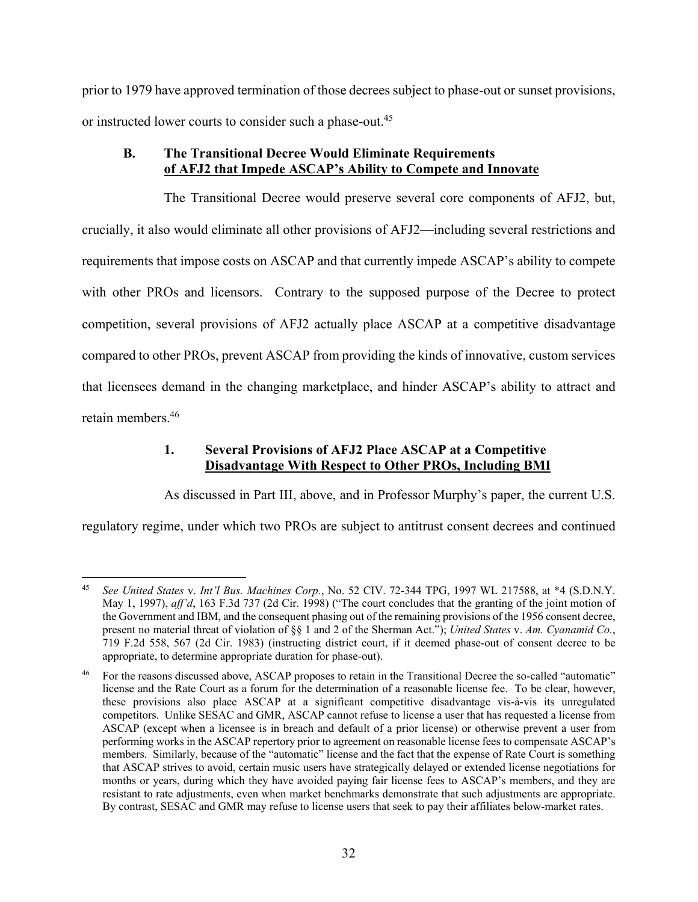prior to 1979 have approved termination of those decrees subject to phase-out or sunset provisions, or instructed lower courts to consider such a phase-out.<sup>45</sup>

# **B. The Transitional Decree Would Eliminate Requirements of AFJ2 that Impede ASCAP's Ability to Compete and Innovate**

The Transitional Decree would preserve several core components of AFJ2, but, crucially, it also would eliminate all other provisions of AFJ2—including several restrictions and requirements that impose costs on ASCAP and that currently impede ASCAP's ability to compete with other PROs and licensors. Contrary to the supposed purpose of the Decree to protect competition, several provisions of AFJ2 actually place ASCAP at a competitive disadvantage compared to other PROs, prevent ASCAP from providing the kinds of innovative, custom services that licensees demand in the changing marketplace, and hinder ASCAP's ability to attract and retain members.46

# **1. Several Provisions of AFJ2 Place ASCAP at a Competitive Disadvantage With Respect to Other PROs, Including BMI**

As discussed in Part III, above, and in Professor Murphy's paper, the current U.S.

regulatory regime, under which two PROs are subject to antitrust consent decrees and continued

 $45$ 45 *See United States* v. *Int'l Bus. Machines Corp.*, No. 52 CIV. 72-344 TPG, 1997 WL 217588, at \*4 (S.D.N.Y. May 1, 1997), *aff'd*, 163 F.3d 737 (2d Cir. 1998) ("The court concludes that the granting of the joint motion of the Government and IBM, and the consequent phasing out of the remaining provisions of the 1956 consent decree, present no material threat of violation of §§ 1 and 2 of the Sherman Act."); *United States* v. *Am. Cyanamid Co.*, 719 F.2d 558, 567 (2d Cir. 1983) (instructing district court, if it deemed phase-out of consent decree to be appropriate, to determine appropriate duration for phase-out).

<sup>46</sup> For the reasons discussed above, ASCAP proposes to retain in the Transitional Decree the so-called "automatic" license and the Rate Court as a forum for the determination of a reasonable license fee. To be clear, however, these provisions also place ASCAP at a significant competitive disadvantage vis-à-vis its unregulated competitors. Unlike SESAC and GMR, ASCAP cannot refuse to license a user that has requested a license from ASCAP (except when a licensee is in breach and default of a prior license) or otherwise prevent a user from performing works in the ASCAP repertory prior to agreement on reasonable license fees to compensate ASCAP's members. Similarly, because of the "automatic" license and the fact that the expense of Rate Court is something that ASCAP strives to avoid, certain music users have strategically delayed or extended license negotiations for months or years, during which they have avoided paying fair license fees to ASCAP's members, and they are resistant to rate adjustments, even when market benchmarks demonstrate that such adjustments are appropriate. By contrast, SESAC and GMR may refuse to license users that seek to pay their affiliates below-market rates.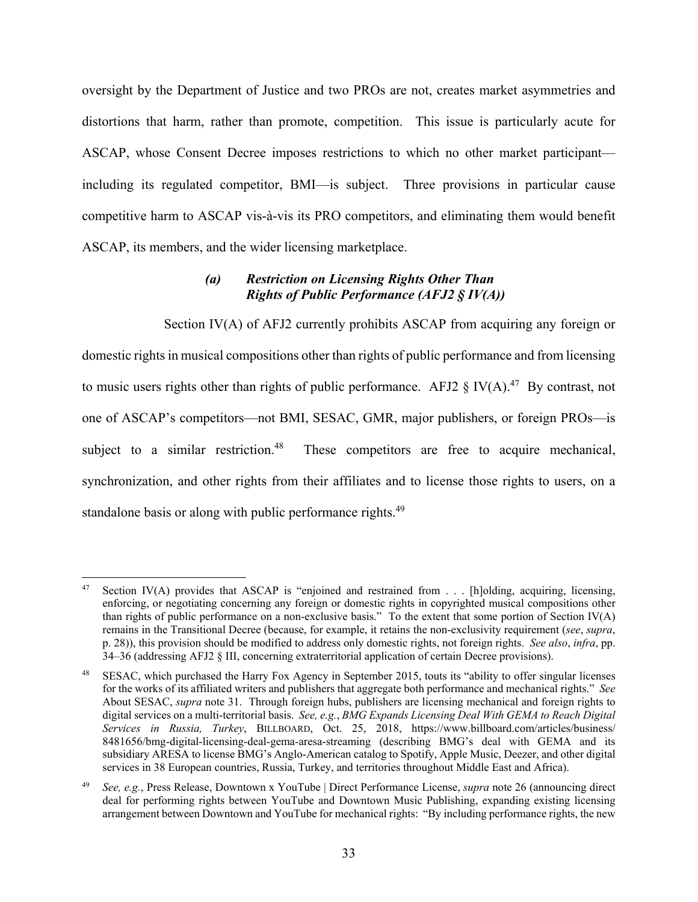oversight by the Department of Justice and two PROs are not, creates market asymmetries and distortions that harm, rather than promote, competition. This issue is particularly acute for ASCAP, whose Consent Decree imposes restrictions to which no other market participant including its regulated competitor, BMI—is subject. Three provisions in particular cause competitive harm to ASCAP vis-à-vis its PRO competitors, and eliminating them would benefit ASCAP, its members, and the wider licensing marketplace.

### *(a) Restriction on Licensing Rights Other Than Rights of Public Performance (AFJ2 § IV(A))*

Section IV(A) of AFJ2 currently prohibits ASCAP from acquiring any foreign or domestic rights in musical compositions other than rights of public performance and from licensing to music users rights other than rights of public performance. AFJ2  $\S$  IV(A).<sup>47</sup> By contrast, not one of ASCAP's competitors—not BMI, SESAC, GMR, major publishers, or foreign PROs—is subject to a similar restriction.<sup>48</sup> These competitors are free to acquire mechanical, synchronization, and other rights from their affiliates and to license those rights to users, on a standalone basis or along with public performance rights.<sup>49</sup>

<sup>47</sup> Section IV(A) provides that ASCAP is "enjoined and restrained from . . . [h]olding, acquiring, licensing, enforcing, or negotiating concerning any foreign or domestic rights in copyrighted musical compositions other than rights of public performance on a non-exclusive basis." To the extent that some portion of Section IV(A) remains in the Transitional Decree (because, for example, it retains the non-exclusivity requirement (*see*, *supra*, p. 28)), this provision should be modified to address only domestic rights, not foreign rights. *See also*, *infra*, pp. 34–36 (addressing AFJ2 § III, concerning extraterritorial application of certain Decree provisions).

<sup>48</sup> SESAC, which purchased the Harry Fox Agency in September 2015, touts its "ability to offer singular licenses for the works of its affiliated writers and publishers that aggregate both performance and mechanical rights." *See* About SESAC, *supra* note 31. Through foreign hubs, publishers are licensing mechanical and foreign rights to digital services on a multi-territorial basis. *See, e.g.*, *BMG Expands Licensing Deal With GEMA to Reach Digital Services in Russia, Turkey*, BILLBOARD, Oct. 25, 2018, https://www.billboard.com/articles/business/ 8481656/bmg-digital-licensing-deal-gema-aresa-streaming (describing BMG's deal with GEMA and its subsidiary ARESA to license BMG's Anglo-American catalog to Spotify, Apple Music, Deezer, and other digital services in 38 European countries, Russia, Turkey, and territories throughout Middle East and Africa).

<sup>49</sup> *See, e.g.*, Press Release, Downtown x YouTube | Direct Performance License, *supra* note 26 (announcing direct deal for performing rights between YouTube and Downtown Music Publishing, expanding existing licensing arrangement between Downtown and YouTube for mechanical rights: "By including performance rights, the new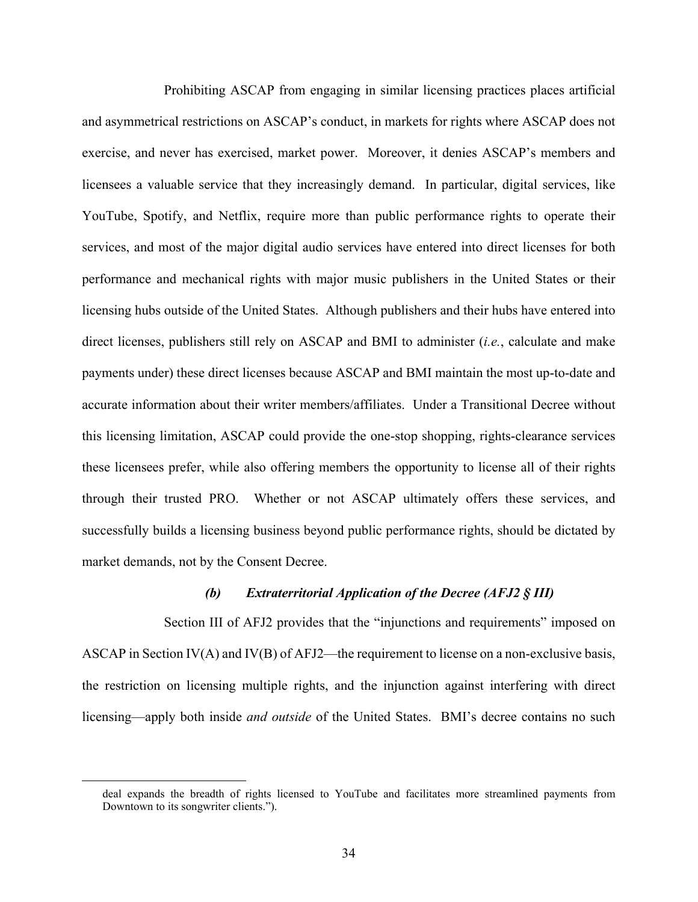Prohibiting ASCAP from engaging in similar licensing practices places artificial and asymmetrical restrictions on ASCAP's conduct, in markets for rights where ASCAP does not exercise, and never has exercised, market power. Moreover, it denies ASCAP's members and licensees a valuable service that they increasingly demand. In particular, digital services, like YouTube, Spotify, and Netflix, require more than public performance rights to operate their services, and most of the major digital audio services have entered into direct licenses for both performance and mechanical rights with major music publishers in the United States or their licensing hubs outside of the United States. Although publishers and their hubs have entered into direct licenses, publishers still rely on ASCAP and BMI to administer (*i.e.*, calculate and make payments under) these direct licenses because ASCAP and BMI maintain the most up-to-date and accurate information about their writer members/affiliates. Under a Transitional Decree without this licensing limitation, ASCAP could provide the one-stop shopping, rights-clearance services these licensees prefer, while also offering members the opportunity to license all of their rights through their trusted PRO. Whether or not ASCAP ultimately offers these services, and successfully builds a licensing business beyond public performance rights, should be dictated by market demands, not by the Consent Decree.

#### *(b) Extraterritorial Application of the Decree (AFJ2 § III)*

Section III of AFJ2 provides that the "injunctions and requirements" imposed on ASCAP in Section IV(A) and IV(B) of AFJ2—the requirement to license on a non-exclusive basis, the restriction on licensing multiple rights, and the injunction against interfering with direct licensing—apply both inside *and outside* of the United States. BMI's decree contains no such

deal expands the breadth of rights licensed to YouTube and facilitates more streamlined payments from Downtown to its songwriter clients.").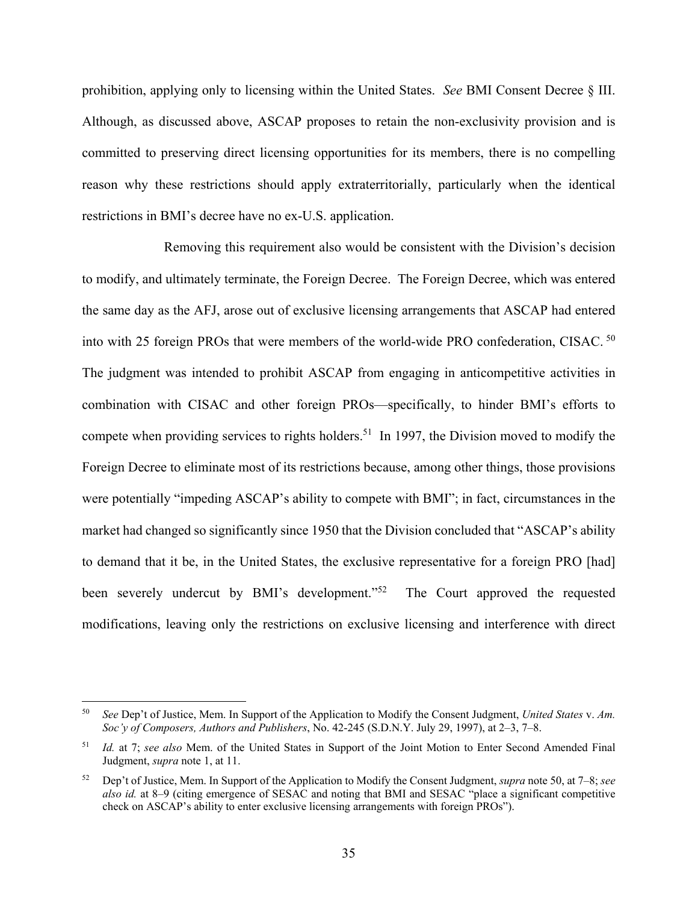prohibition, applying only to licensing within the United States. *See* BMI Consent Decree § III. Although, as discussed above, ASCAP proposes to retain the non-exclusivity provision and is committed to preserving direct licensing opportunities for its members, there is no compelling reason why these restrictions should apply extraterritorially, particularly when the identical restrictions in BMI's decree have no ex-U.S. application.

Removing this requirement also would be consistent with the Division's decision to modify, and ultimately terminate, the Foreign Decree. The Foreign Decree, which was entered the same day as the AFJ, arose out of exclusive licensing arrangements that ASCAP had entered into with 25 foreign PROs that were members of the world-wide PRO confederation, CISAC. 50 The judgment was intended to prohibit ASCAP from engaging in anticompetitive activities in combination with CISAC and other foreign PROs—specifically, to hinder BMI's efforts to compete when providing services to rights holders.<sup>51</sup> In 1997, the Division moved to modify the Foreign Decree to eliminate most of its restrictions because, among other things, those provisions were potentially "impeding ASCAP's ability to compete with BMI"; in fact, circumstances in the market had changed so significantly since 1950 that the Division concluded that "ASCAP's ability to demand that it be, in the United States, the exclusive representative for a foreign PRO [had] been severely undercut by BMI's development."<sup>52</sup> The Court approved the requested modifications, leaving only the restrictions on exclusive licensing and interference with direct

<sup>50</sup> *See* Dep't of Justice, Mem. In Support of the Application to Modify the Consent Judgment, *United States* v. *Am. Soc'y of Composers, Authors and Publishers*, No. 42-245 (S.D.N.Y. July 29, 1997), at 2–3, 7–8.

<sup>51</sup> *Id.* at 7; *see also* Mem. of the United States in Support of the Joint Motion to Enter Second Amended Final Judgment, *supra* note 1, at 11.

<sup>52</sup> Dep't of Justice, Mem. In Support of the Application to Modify the Consent Judgment, *supra* note 50, at 7–8; *see also id.* at 8–9 (citing emergence of SESAC and noting that BMI and SESAC "place a significant competitive check on ASCAP's ability to enter exclusive licensing arrangements with foreign PROs").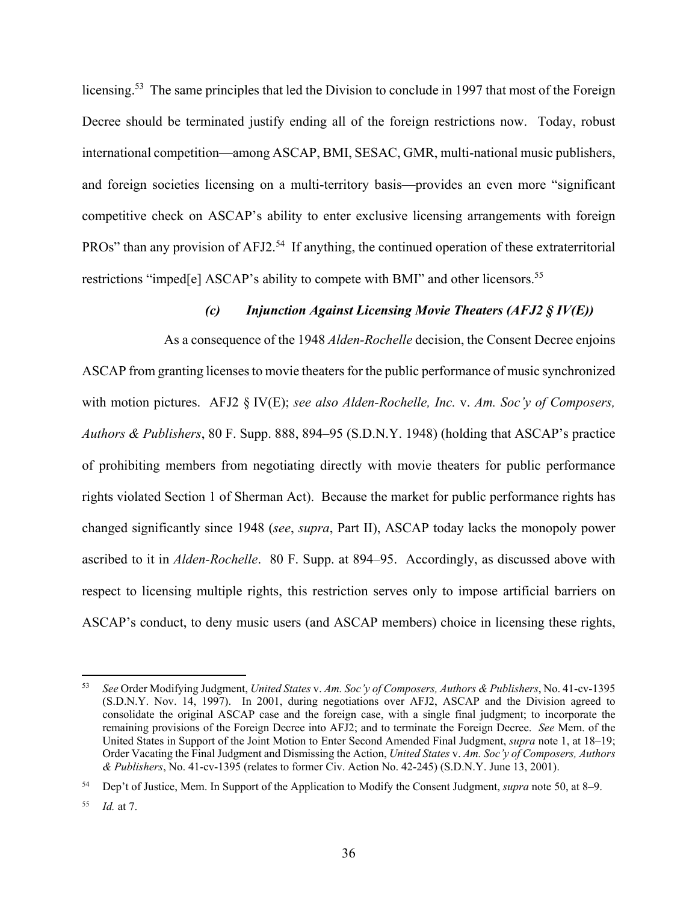licensing.<sup>53</sup> The same principles that led the Division to conclude in 1997 that most of the Foreign Decree should be terminated justify ending all of the foreign restrictions now. Today, robust international competition—among ASCAP, BMI, SESAC, GMR, multi-national music publishers, and foreign societies licensing on a multi-territory basis—provides an even more "significant competitive check on ASCAP's ability to enter exclusive licensing arrangements with foreign PROs" than any provision of AFJ2.<sup>54</sup> If anything, the continued operation of these extraterritorial restrictions "imped[e] ASCAP's ability to compete with BMI" and other licensors.<sup>55</sup>

## *(c) Injunction Against Licensing Movie Theaters (AFJ2 § IV(E))*

As a consequence of the 1948 *Alden-Rochelle* decision, the Consent Decree enjoins ASCAP from granting licenses to movie theaters for the public performance of music synchronized with motion pictures. AFJ2 § IV(E); *see also Alden-Rochelle, Inc.* v. *Am. Soc'y of Composers, Authors & Publishers*, 80 F. Supp. 888, 894–95 (S.D.N.Y. 1948) (holding that ASCAP's practice of prohibiting members from negotiating directly with movie theaters for public performance rights violated Section 1 of Sherman Act). Because the market for public performance rights has changed significantly since 1948 (*see*, *supra*, Part II), ASCAP today lacks the monopoly power ascribed to it in *Alden-Rochelle*. 80 F. Supp. at 894–95. Accordingly, as discussed above with respect to licensing multiple rights, this restriction serves only to impose artificial barriers on ASCAP's conduct, to deny music users (and ASCAP members) choice in licensing these rights,

<sup>53</sup> *See* Order Modifying Judgment, *United States* v. *Am. Soc'y of Composers, Authors & Publishers*, No. 41-cv-1395 (S.D.N.Y. Nov. 14, 1997). In 2001, during negotiations over AFJ2, ASCAP and the Division agreed to consolidate the original ASCAP case and the foreign case, with a single final judgment; to incorporate the remaining provisions of the Foreign Decree into AFJ2; and to terminate the Foreign Decree. *See* Mem. of the United States in Support of the Joint Motion to Enter Second Amended Final Judgment, *supra* note 1, at 18–19; Order Vacating the Final Judgment and Dismissing the Action, *United States* v. *Am. Soc'y of Composers, Authors & Publishers*, No. 41-cv-1395 (relates to former Civ. Action No. 42-245) (S.D.N.Y. June 13, 2001).

<sup>54</sup> Dep't of Justice, Mem. In Support of the Application to Modify the Consent Judgment, *supra* note 50, at 8–9.

<sup>55</sup> *Id.* at 7.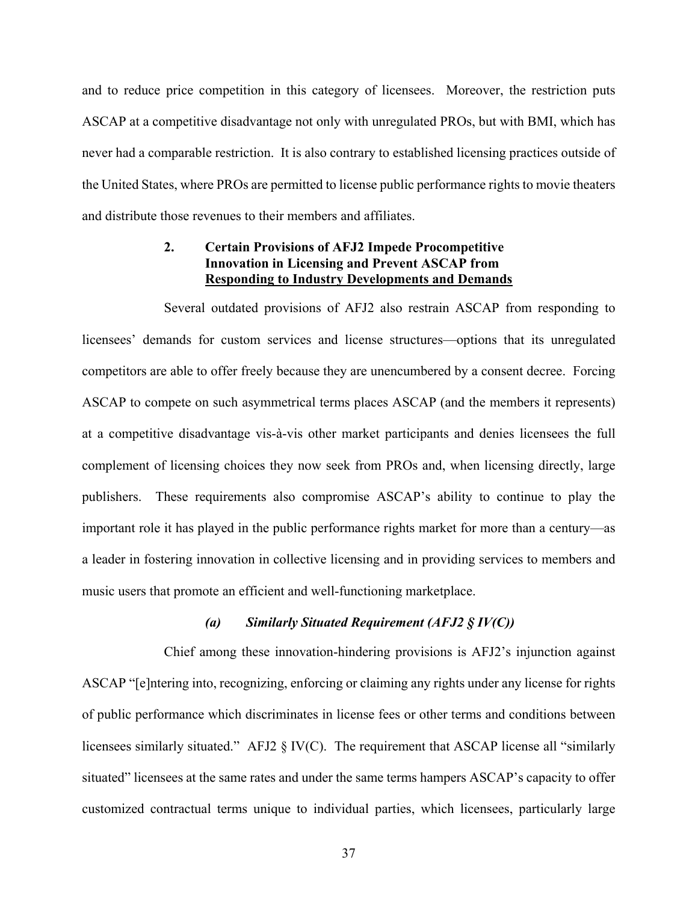and to reduce price competition in this category of licensees. Moreover, the restriction puts ASCAP at a competitive disadvantage not only with unregulated PROs, but with BMI, which has never had a comparable restriction. It is also contrary to established licensing practices outside of the United States, where PROs are permitted to license public performance rights to movie theaters and distribute those revenues to their members and affiliates.

### **2. Certain Provisions of AFJ2 Impede Procompetitive Innovation in Licensing and Prevent ASCAP from Responding to Industry Developments and Demands**

Several outdated provisions of AFJ2 also restrain ASCAP from responding to licensees' demands for custom services and license structures—options that its unregulated competitors are able to offer freely because they are unencumbered by a consent decree. Forcing ASCAP to compete on such asymmetrical terms places ASCAP (and the members it represents) at a competitive disadvantage vis-à-vis other market participants and denies licensees the full complement of licensing choices they now seek from PROs and, when licensing directly, large publishers. These requirements also compromise ASCAP's ability to continue to play the important role it has played in the public performance rights market for more than a century—as a leader in fostering innovation in collective licensing and in providing services to members and music users that promote an efficient and well-functioning marketplace.

#### *(a) Similarly Situated Requirement (AFJ2 § IV(C))*

Chief among these innovation-hindering provisions is AFJ2's injunction against ASCAP "[e]ntering into, recognizing, enforcing or claiming any rights under any license for rights of public performance which discriminates in license fees or other terms and conditions between licensees similarly situated." AFJ2 § IV(C). The requirement that ASCAP license all "similarly situated" licensees at the same rates and under the same terms hampers ASCAP's capacity to offer customized contractual terms unique to individual parties, which licensees, particularly large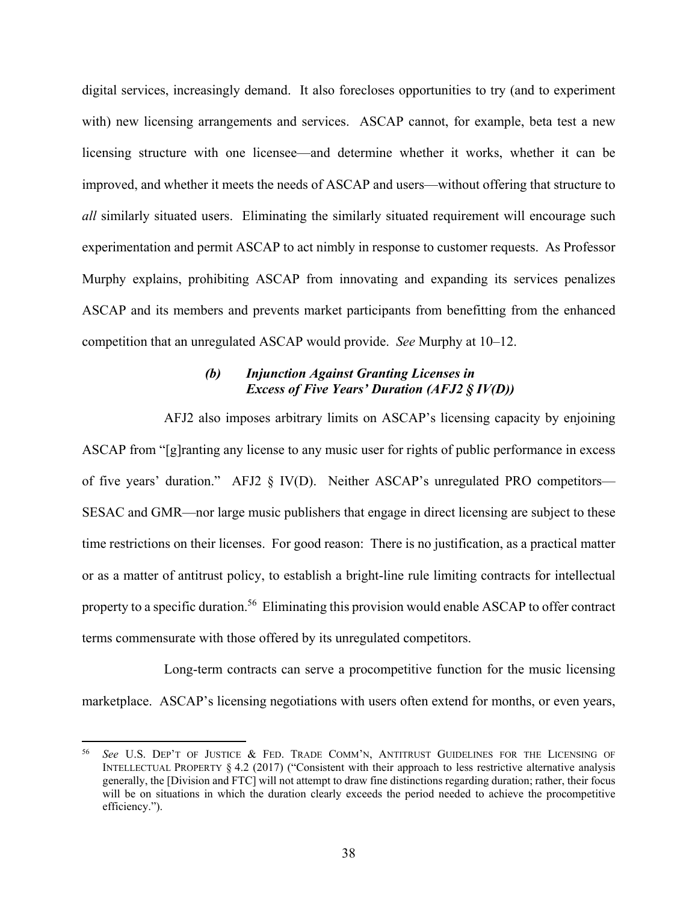digital services, increasingly demand. It also forecloses opportunities to try (and to experiment with) new licensing arrangements and services. ASCAP cannot, for example, beta test a new licensing structure with one licensee—and determine whether it works, whether it can be improved, and whether it meets the needs of ASCAP and users—without offering that structure to *all* similarly situated users. Eliminating the similarly situated requirement will encourage such experimentation and permit ASCAP to act nimbly in response to customer requests. As Professor Murphy explains, prohibiting ASCAP from innovating and expanding its services penalizes ASCAP and its members and prevents market participants from benefitting from the enhanced competition that an unregulated ASCAP would provide. *See* Murphy at 10–12.

### *(b) Injunction Against Granting Licenses in Excess of Five Years' Duration (AFJ2 § IV(D))*

AFJ2 also imposes arbitrary limits on ASCAP's licensing capacity by enjoining ASCAP from "[g]ranting any license to any music user for rights of public performance in excess of five years' duration." AFJ2 § IV(D). Neither ASCAP's unregulated PRO competitors— SESAC and GMR—nor large music publishers that engage in direct licensing are subject to these time restrictions on their licenses. For good reason: There is no justification, as a practical matter or as a matter of antitrust policy, to establish a bright-line rule limiting contracts for intellectual property to a specific duration.<sup>56</sup> Eliminating this provision would enable ASCAP to offer contract terms commensurate with those offered by its unregulated competitors.

Long-term contracts can serve a procompetitive function for the music licensing marketplace. ASCAP's licensing negotiations with users often extend for months, or even years,

1

See U.S. DEP'T OF JUSTICE & FED. TRADE COMM'N, ANTITRUST GUIDELINES FOR THE LICENSING OF INTELLECTUAL PROPERTY § 4.2 (2017) ("Consistent with their approach to less restrictive alternative analysis generally, the [Division and FTC] will not attempt to draw fine distinctions regarding duration; rather, their focus will be on situations in which the duration clearly exceeds the period needed to achieve the procompetitive efficiency.").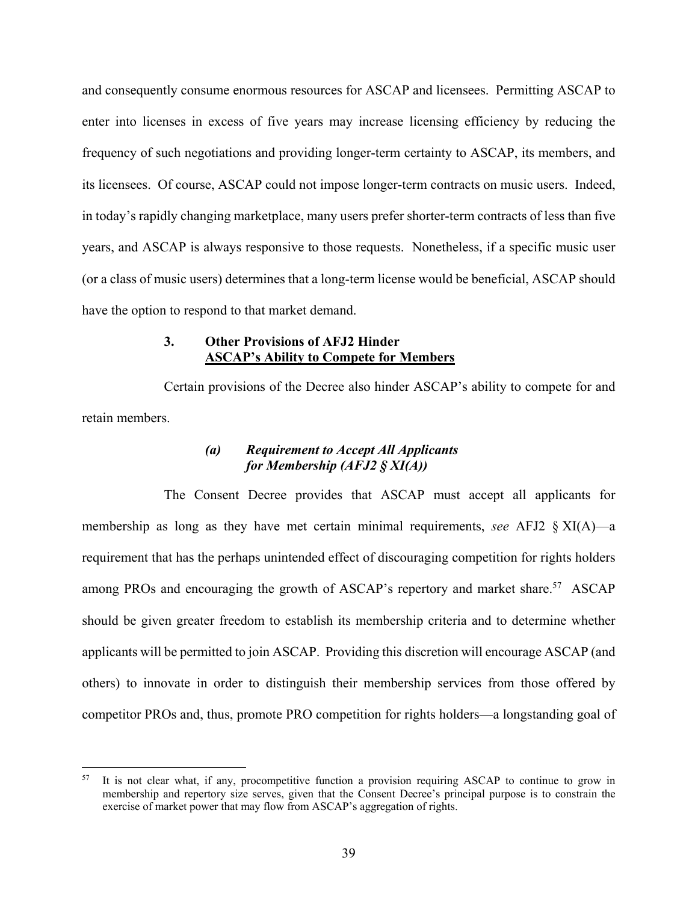and consequently consume enormous resources for ASCAP and licensees. Permitting ASCAP to enter into licenses in excess of five years may increase licensing efficiency by reducing the frequency of such negotiations and providing longer-term certainty to ASCAP, its members, and its licensees. Of course, ASCAP could not impose longer-term contracts on music users. Indeed, in today's rapidly changing marketplace, many users prefer shorter-term contracts of less than five years, and ASCAP is always responsive to those requests. Nonetheless, if a specific music user (or a class of music users) determines that a long-term license would be beneficial, ASCAP should have the option to respond to that market demand.

### **3. Other Provisions of AFJ2 Hinder ASCAP's Ability to Compete for Members**

Certain provisions of the Decree also hinder ASCAP's ability to compete for and retain members.

### *(a) Requirement to Accept All Applicants for Membership (AFJ2 § XI(A))*

The Consent Decree provides that ASCAP must accept all applicants for membership as long as they have met certain minimal requirements, *see* AFJ2 § XI(A)—a requirement that has the perhaps unintended effect of discouraging competition for rights holders among PROs and encouraging the growth of ASCAP's repertory and market share.<sup>57</sup> ASCAP should be given greater freedom to establish its membership criteria and to determine whether applicants will be permitted to join ASCAP. Providing this discretion will encourage ASCAP (and others) to innovate in order to distinguish their membership services from those offered by competitor PROs and, thus, promote PRO competition for rights holders—a longstanding goal of

It is not clear what, if any, procompetitive function a provision requiring ASCAP to continue to grow in membership and repertory size serves, given that the Consent Decree's principal purpose is to constrain the exercise of market power that may flow from ASCAP's aggregation of rights.